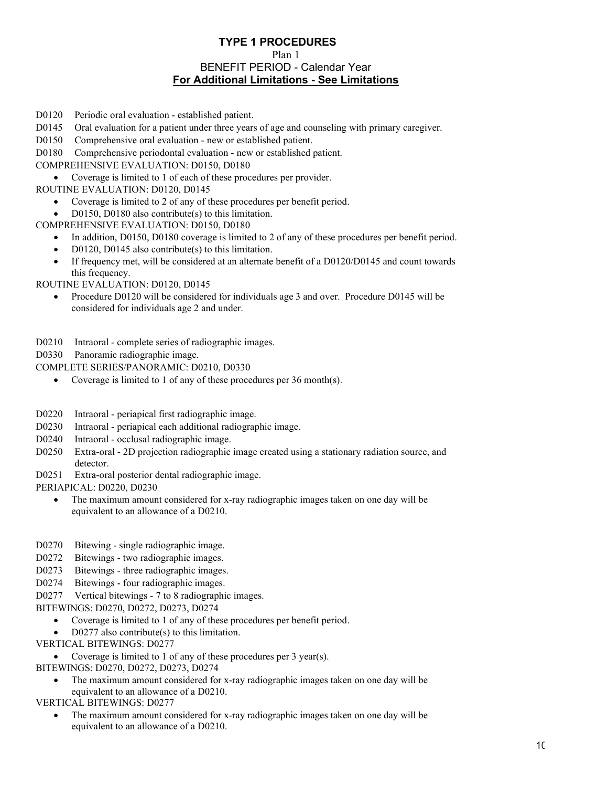## TYPE 1 PROCEDURES Plan 1 BENEFIT PERIOD - Calendar Year For Additional Limitations - See Limitations

- D0120 Periodic oral evaluation established patient.
- D0145 Oral evaluation for a patient under three years of age and counseling with primary caregiver.
- D0150 Comprehensive oral evaluation new or established patient.
- D0180 Comprehensive periodontal evaluation new or established patient.
- COMPREHENSIVE EVALUATION: D0150, D0180
- Coverage is limited to 1 of each of these procedures per provider.
- ROUTINE EVALUATION: D0120, D0145
	- Coverage is limited to 2 of any of these procedures per benefit period.
	- D0150, D0180 also contribute(s) to this limitation.
- COMPREHENSIVE EVALUATION: D0150, D0180
	- In addition, D0150, D0180 coverage is limited to 2 of any of these procedures per benefit period.
	- D0120, D0145 also contribute(s) to this limitation.
	- If frequency met, will be considered at an alternate benefit of a D0120/D0145 and count towards this frequency.
- ROUTINE EVALUATION: D0120, D0145
	- Procedure D0120 will be considered for individuals age 3 and over. Procedure D0145 will be considered for individuals age 2 and under.
- D0210 Intraoral complete series of radiographic images.
- D0330 Panoramic radiographic image.

COMPLETE SERIES/PANORAMIC: D0210, D0330

- Coverage is limited to 1 of any of these procedures per 36 month(s).
- D0220 Intraoral periapical first radiographic image.
- D0230 Intraoral periapical each additional radiographic image.
- D0240 Intraoral occlusal radiographic image.
- D0250 Extra-oral 2D projection radiographic image created using a stationary radiation source, and detector.
- D0251 Extra-oral posterior dental radiographic image.

PERIAPICAL: D0220, D0230

- The maximum amount considered for x-ray radiographic images taken on one day will be equivalent to an allowance of a D0210.
- D0270 Bitewing single radiographic image.
- D0272 Bitewings two radiographic images.
- D0273 Bitewings three radiographic images.
- D0274 Bitewings four radiographic images.
- D0277 Vertical bitewings 7 to 8 radiographic images.
- BITEWINGS: D0270, D0272, D0273, D0274
	- Coverage is limited to 1 of any of these procedures per benefit period.
	- D0277 also contribute(s) to this limitation.
- VERTICAL BITEWINGS: D0277
	- Coverage is limited to 1 of any of these procedures per 3 year(s).
- BITEWINGS: D0270, D0272, D0273, D0274
	- The maximum amount considered for x-ray radiographic images taken on one day will be equivalent to an allowance of a D0210.

VERTICAL BITEWINGS: D0277

 The maximum amount considered for x-ray radiographic images taken on one day will be equivalent to an allowance of a D0210.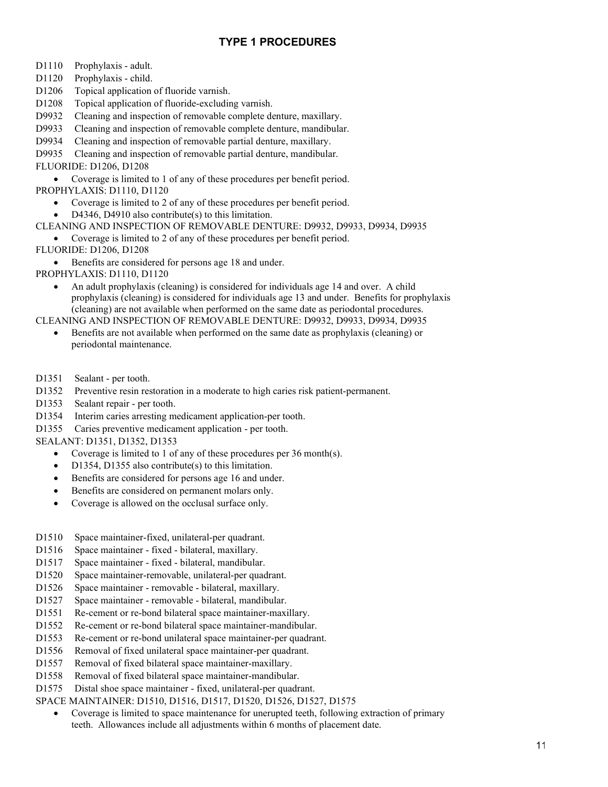- D1110 Prophylaxis adult.
- D1120 Prophylaxis child.
- D1206 Topical application of fluoride varnish.
- D1208 Topical application of fluoride-excluding varnish.
- D9932 Cleaning and inspection of removable complete denture, maxillary.
- D9933 Cleaning and inspection of removable complete denture, mandibular.
- D9934 Cleaning and inspection of removable partial denture, maxillary.

D9935 Cleaning and inspection of removable partial denture, mandibular.

FLUORIDE: D1206, D1208

 Coverage is limited to 1 of any of these procedures per benefit period. PROPHYLAXIS: D1110, D1120

- Coverage is limited to 2 of any of these procedures per benefit period.
- D4346, D4910 also contribute(s) to this limitation.
- CLEANING AND INSPECTION OF REMOVABLE DENTURE: D9932, D9933, D9934, D9935
- Coverage is limited to 2 of any of these procedures per benefit period.
- FLUORIDE: D1206, D1208
	- Benefits are considered for persons age 18 and under.

PROPHYLAXIS: D1110, D1120

 An adult prophylaxis (cleaning) is considered for individuals age 14 and over. A child prophylaxis (cleaning) is considered for individuals age 13 and under. Benefits for prophylaxis (cleaning) are not available when performed on the same date as periodontal procedures.

CLEANING AND INSPECTION OF REMOVABLE DENTURE: D9932, D9933, D9934, D9935

- Benefits are not available when performed on the same date as prophylaxis (cleaning) or periodontal maintenance.
- D1351 Sealant per tooth.
- D1352 Preventive resin restoration in a moderate to high caries risk patient-permanent.
- D1353 Sealant repair per tooth.
- D1354 Interim caries arresting medicament application-per tooth.

D1355 Caries preventive medicament application - per tooth.

SEALANT: D1351, D1352, D1353

- Coverage is limited to 1 of any of these procedures per 36 month(s).
- D1354, D1355 also contribute(s) to this limitation.
- Benefits are considered for persons age 16 and under.
- Benefits are considered on permanent molars only.
- Coverage is allowed on the occlusal surface only.
- D1510 Space maintainer-fixed, unilateral-per quadrant.
- D1516 Space maintainer fixed bilateral, maxillary.
- D1517 Space maintainer fixed bilateral, mandibular.
- D1520 Space maintainer-removable, unilateral-per quadrant.
- D1526 Space maintainer removable bilateral, maxillary.
- D1527 Space maintainer removable bilateral, mandibular.
- D1551 Re-cement or re-bond bilateral space maintainer-maxillary.
- D1552 Re-cement or re-bond bilateral space maintainer-mandibular.
- D1553 Re-cement or re-bond unilateral space maintainer-per quadrant.
- D1556 Removal of fixed unilateral space maintainer-per quadrant.
- D1557 Removal of fixed bilateral space maintainer-maxillary.
- D1558 Removal of fixed bilateral space maintainer-mandibular.

D1575 Distal shoe space maintainer - fixed, unilateral-per quadrant.

SPACE MAINTAINER: D1510, D1516, D1517, D1520, D1526, D1527, D1575

 Coverage is limited to space maintenance for unerupted teeth, following extraction of primary teeth. Allowances include all adjustments within 6 months of placement date.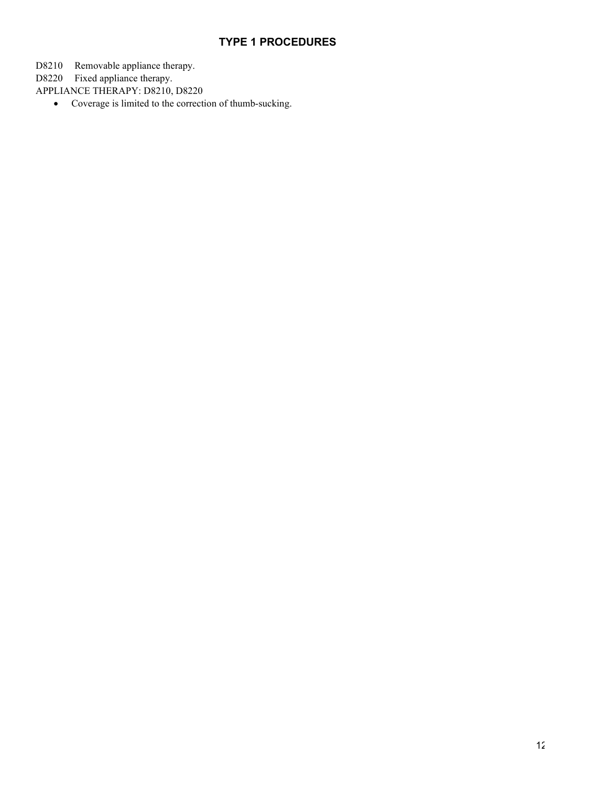D8210 Removable appliance therapy.

D8220 Fixed appliance therapy.

APPLIANCE THERAPY: D8210, D8220

Coverage is limited to the correction of thumb-sucking.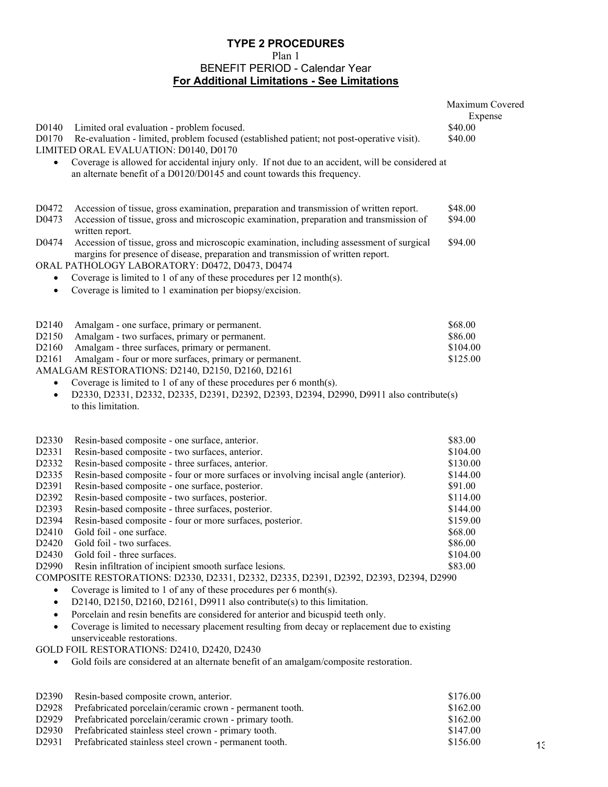## TYPE 2 PROCEDURES Plan 1 BENEFIT PERIOD - Calendar Year For Additional Limitations - See Limitations

|                            |                                                                                                                | Expense              |
|----------------------------|----------------------------------------------------------------------------------------------------------------|----------------------|
| D0140                      | Limited oral evaluation - problem focused.                                                                     | \$40.00              |
| D0170                      | Re-evaluation - limited, problem focused (established patient; not post-operative visit).                      | \$40.00              |
|                            | LIMITED ORAL EVALUATION: D0140, D0170                                                                          |                      |
| $\bullet$                  | Coverage is allowed for accidental injury only. If not due to an accident, will be considered at               |                      |
|                            | an alternate benefit of a D0120/D0145 and count towards this frequency.                                        |                      |
|                            |                                                                                                                |                      |
|                            |                                                                                                                |                      |
| D0472                      | Accession of tissue, gross examination, preparation and transmission of written report.                        | \$48.00              |
| D0473                      | Accession of tissue, gross and microscopic examination, preparation and transmission of                        | \$94.00              |
|                            | written report.                                                                                                |                      |
| D0474                      | Accession of tissue, gross and microscopic examination, including assessment of surgical                       | \$94.00              |
|                            | margins for presence of disease, preparation and transmission of written report.                               |                      |
|                            | ORAL PATHOLOGY LABORATORY: D0472, D0473, D0474                                                                 |                      |
|                            | Coverage is limited to 1 of any of these procedures per 12 month(s).                                           |                      |
| $\bullet$                  | Coverage is limited to 1 examination per biopsy/excision.                                                      |                      |
|                            |                                                                                                                |                      |
| D <sub>2</sub> 140         | Amalgam - one surface, primary or permanent.                                                                   | \$68.00              |
| D2150                      | Amalgam - two surfaces, primary or permanent.                                                                  | \$86.00              |
| D2160                      | Amalgam - three surfaces, primary or permanent.                                                                | \$104.00             |
| D2161                      | Amalgam - four or more surfaces, primary or permanent.                                                         | \$125.00             |
|                            | AMALGAM RESTORATIONS: D2140, D2150, D2160, D2161                                                               |                      |
| $\bullet$                  | Coverage is limited to 1 of any of these procedures per 6 month(s).                                            |                      |
| $\bullet$                  | D2330, D2331, D2332, D2335, D2391, D2392, D2393, D2394, D2990, D9911 also contribute(s)                        |                      |
|                            | to this limitation.                                                                                            |                      |
|                            |                                                                                                                |                      |
| D <sub>2330</sub>          | Resin-based composite - one surface, anterior.                                                                 | \$83.00              |
| D2331                      | Resin-based composite - two surfaces, anterior.                                                                | \$104.00             |
| D2332                      | Resin-based composite - three surfaces, anterior.                                                              | \$130.00             |
| D2335                      | Resin-based composite - four or more surfaces or involving incisal angle (anterior).                           | \$144.00             |
| D2391                      | Resin-based composite - one surface, posterior.                                                                | \$91.00              |
| D2392                      | Resin-based composite - two surfaces, posterior.                                                               | \$114.00             |
| D2393                      | Resin-based composite - three surfaces, posterior.                                                             | \$144.00             |
| D2394                      | Resin-based composite - four or more surfaces, posterior.                                                      | \$159.00             |
| D2410                      | Gold foil - one surface.                                                                                       | \$68.00              |
| D2420                      | Gold foil - two surfaces.                                                                                      | \$86.00              |
| D <sub>2430</sub>          | Gold foil - three surfaces                                                                                     | \$104.00             |
| D <sub>2990</sub>          | Resin infiltration of incipient smooth surface lesions.                                                        | \$83.00              |
|                            | COMPOSITE RESTORATIONS: D2330, D2331, D2332, D2335, D2391, D2392, D2393, D2394, D2990                          |                      |
| $\bullet$                  | Coverage is limited to 1 of any of these procedures per 6 month(s).                                            |                      |
| $\bullet$                  | D2140, D2150, D2160, D2161, D9911 also contribute(s) to this limitation.                                       |                      |
| $\bullet$                  | Porcelain and resin benefits are considered for anterior and bicuspid teeth only.                              |                      |
| $\bullet$                  | Coverage is limited to necessary placement resulting from decay or replacement due to existing                 |                      |
|                            | unserviceable restorations.                                                                                    |                      |
|                            | GOLD FOIL RESTORATIONS: D2410, D2420, D2430                                                                    |                      |
|                            | Gold foils are considered at an alternate benefit of an amalgam/composite restoration.                         |                      |
|                            |                                                                                                                |                      |
|                            |                                                                                                                |                      |
| D <sub>2390</sub><br>D2928 | Resin-based composite crown, anterior.                                                                         | \$176.00<br>\$162.00 |
|                            | Prefabricated porcelain/ceramic crown - permanent tooth.                                                       |                      |
| D2929<br>D2930             | Prefabricated porcelain/ceramic crown - primary tooth.                                                         | \$162.00             |
| D2931                      | Prefabricated stainless steel crown - primary tooth.<br>Prefabricated stainless steel crown - permanent tooth. | \$147.00<br>\$156.00 |
|                            |                                                                                                                |                      |
|                            |                                                                                                                |                      |
|                            |                                                                                                                |                      |

Maximum Covered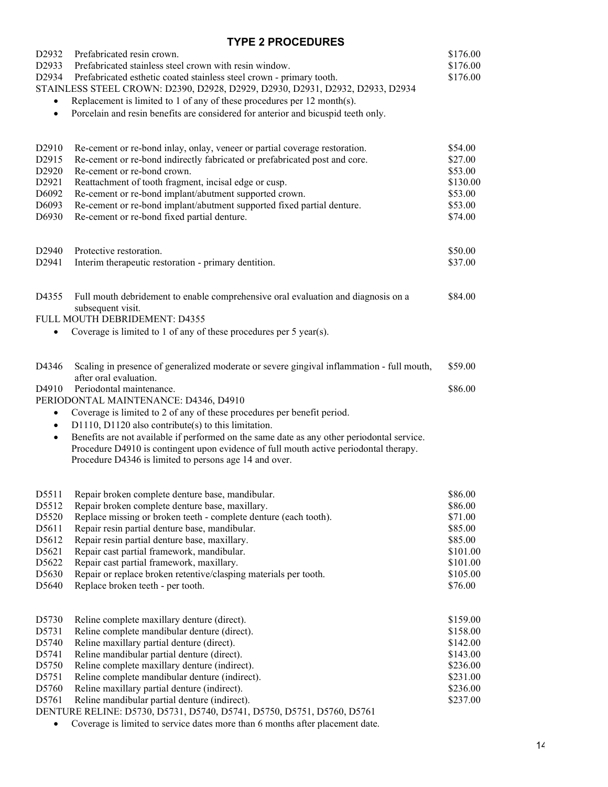| D2932<br>D2933    | Prefabricated resin crown.<br>Prefabricated stainless steel crown with resin window.                                                                  |                      |  |
|-------------------|-------------------------------------------------------------------------------------------------------------------------------------------------------|----------------------|--|
| D2934             | Prefabricated esthetic coated stainless steel crown - primary tooth.<br>STAINLESS STEEL CROWN: D2390, D2928, D2929, D2930, D2931, D2932, D2933, D2934 | \$176.00             |  |
| $\bullet$         | Replacement is limited to 1 of any of these procedures per 12 month(s).                                                                               |                      |  |
| $\bullet$         | Porcelain and resin benefits are considered for anterior and bicuspid teeth only.                                                                     |                      |  |
| D2910             | Re-cement or re-bond inlay, onlay, veneer or partial coverage restoration.                                                                            | \$54.00              |  |
| D2915<br>D2920    | Re-cement or re-bond indirectly fabricated or prefabricated post and core.<br>Re-cement or re-bond crown.                                             | \$27.00<br>\$53.00   |  |
| D2921             | Reattachment of tooth fragment, incisal edge or cusp.                                                                                                 | \$130.00             |  |
| D6092             | Re-cement or re-bond implant/abutment supported crown.                                                                                                | \$53.00              |  |
| D6093             | Re-cement or re-bond implant/abutment supported fixed partial denture.                                                                                | \$53.00              |  |
| D6930             | Re-cement or re-bond fixed partial denture.                                                                                                           | \$74.00              |  |
| D <sub>2940</sub> | Protective restoration.                                                                                                                               | \$50.00              |  |
| D2941             | Interim therapeutic restoration - primary dentition.                                                                                                  | \$37.00              |  |
| D4355             | Full mouth debridement to enable comprehensive oral evaluation and diagnosis on a<br>subsequent visit.                                                | \$84.00              |  |
|                   | FULL MOUTH DEBRIDEMENT: D4355                                                                                                                         |                      |  |
|                   | Coverage is limited to 1 of any of these procedures per 5 year(s).                                                                                    |                      |  |
| D4346             | Scaling in presence of generalized moderate or severe gingival inflammation - full mouth,                                                             | \$59.00              |  |
|                   | after oral evaluation.<br>Periodontal maintenance.                                                                                                    |                      |  |
| D4910             | PERIODONTAL MAINTENANCE: D4346, D4910                                                                                                                 | \$86.00              |  |
| $\bullet$         | Coverage is limited to 2 of any of these procedures per benefit period.                                                                               |                      |  |
| $\bullet$         | $D1110$ , $D1120$ also contribute(s) to this limitation.                                                                                              |                      |  |
| $\bullet$         | Benefits are not available if performed on the same date as any other periodontal service.                                                            |                      |  |
|                   | Procedure D4910 is contingent upon evidence of full mouth active periodontal therapy.<br>Procedure D4346 is limited to persons age 14 and over.       |                      |  |
|                   |                                                                                                                                                       |                      |  |
|                   | D5511 Repair broken complete denture base, mandibular.                                                                                                | \$86.00              |  |
| D5512             | Repair broken complete denture base, maxillary.                                                                                                       | \$86.00              |  |
| D5520             | Replace missing or broken teeth - complete denture (each tooth).                                                                                      | \$71.00              |  |
| D5611<br>D5612    | Repair resin partial denture base, mandibular.<br>Repair resin partial denture base, maxillary.                                                       | \$85.00<br>\$85.00   |  |
| D5621             | Repair cast partial framework, mandibular.                                                                                                            | \$101.00             |  |
| D5622             | Repair cast partial framework, maxillary.                                                                                                             | \$101.00             |  |
| D5630             | Repair or replace broken retentive/clasping materials per tooth.                                                                                      | \$105.00             |  |
| D5640             | Replace broken teeth - per tooth.                                                                                                                     | \$76.00              |  |
| D <sub>5730</sub> | Reline complete maxillary denture (direct).                                                                                                           | \$159.00             |  |
| D5731             | Reline complete mandibular denture (direct).                                                                                                          | \$158.00             |  |
| D5740             | Reline maxillary partial denture (direct).                                                                                                            | \$142.00             |  |
| D5741<br>D5750    | Reline mandibular partial denture (direct).                                                                                                           | \$143.00<br>\$236.00 |  |
| D5751             | Reline complete maxillary denture (indirect).<br>Reline complete mandibular denture (indirect).                                                       | \$231.00             |  |
| D5760             | Reline maxillary partial denture (indirect).                                                                                                          | \$236.00             |  |
| D5761             | Reline mandibular partial denture (indirect).                                                                                                         | \$237.00             |  |
|                   | DENTURE RELINE: D5730, D5731, D5740, D5741, D5750, D5751, D5760, D5761                                                                                |                      |  |

Coverage is limited to service dates more than 6 months after placement date.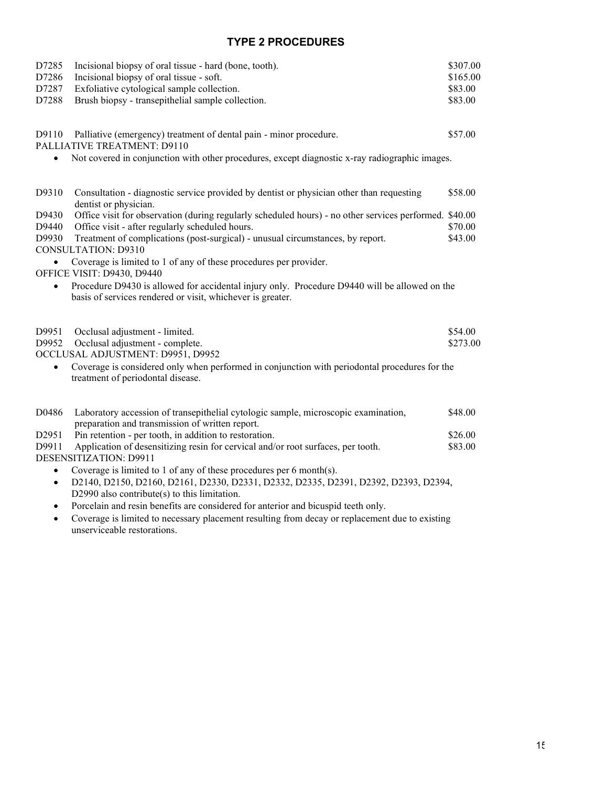| D7285                                                                                                                            | Incisional biopsy of oral tissue - hard (bone, tooth).                                                                                                      | \$307.00 |  |  |  |
|----------------------------------------------------------------------------------------------------------------------------------|-------------------------------------------------------------------------------------------------------------------------------------------------------------|----------|--|--|--|
| D7286                                                                                                                            | Incisional biopsy of oral tissue - soft.                                                                                                                    | \$165.00 |  |  |  |
| D7287                                                                                                                            | Exfoliative cytological sample collection.                                                                                                                  | \$83.00  |  |  |  |
| D7288                                                                                                                            | Brush biopsy - transepithelial sample collection.                                                                                                           | \$83.00  |  |  |  |
| D9110                                                                                                                            | Palliative (emergency) treatment of dental pain - minor procedure.                                                                                          | \$57.00  |  |  |  |
|                                                                                                                                  | PALLIATIVE TREATMENT: D9110                                                                                                                                 |          |  |  |  |
|                                                                                                                                  | Not covered in conjunction with other procedures, except diagnostic x-ray radiographic images.                                                              |          |  |  |  |
| D9310                                                                                                                            | Consultation - diagnostic service provided by dentist or physician other than requesting<br>dentist or physician.                                           | \$58.00  |  |  |  |
| D9430<br>D9440                                                                                                                   | Office visit for observation (during regularly scheduled hours) - no other services performed. \$40.00<br>Office visit - after regularly scheduled hours.   | \$70.00  |  |  |  |
| Treatment of complications (post-surgical) - unusual circumstances, by report.<br>\$43.00<br>D9930<br><b>CONSULTATION: D9310</b> |                                                                                                                                                             |          |  |  |  |
| $\bullet$                                                                                                                        | Coverage is limited to 1 of any of these procedures per provider.<br>OFFICE VISIT: D9430, D9440                                                             |          |  |  |  |
| $\bullet$                                                                                                                        | Procedure D9430 is allowed for accidental injury only. Procedure D9440 will be allowed on the<br>basis of services rendered or visit, whichever is greater. |          |  |  |  |
| D9951                                                                                                                            | Occlusal adjustment - limited.                                                                                                                              | \$54.00  |  |  |  |
| D9952                                                                                                                            | Occlusal adjustment - complete.<br>OCCLUSAL ADJUSTMENT: D9951, D9952                                                                                        | \$273.00 |  |  |  |
| $\bullet$                                                                                                                        | Coverage is considered only when performed in conjunction with periodontal procedures for the<br>treatment of periodontal disease.                          |          |  |  |  |
| D0486                                                                                                                            | Laboratory accession of transepithelial cytologic sample, microscopic examination,<br>preparation and transmission of written report.                       | \$48.00  |  |  |  |
| D2951                                                                                                                            | Pin retention - per tooth, in addition to restoration.                                                                                                      | \$26.00  |  |  |  |
| D9911                                                                                                                            | Application of desensitizing resin for cervical and/or root surfaces, per tooth.                                                                            | \$83.00  |  |  |  |
|                                                                                                                                  | DESENSITIZATION: D9911                                                                                                                                      |          |  |  |  |
| $\bullet$                                                                                                                        | Coverage is limited to 1 of any of these procedures per 6 month(s).                                                                                         |          |  |  |  |
| $\bullet$                                                                                                                        | D2140, D2150, D2160, D2161, D2330, D2331, D2332, D2335, D2391, D2392, D2393, D2394,<br>D2990 also contribute(s) to this limitation.                         |          |  |  |  |
| $\bullet$                                                                                                                        | Porcelain and resin benefits are considered for anterior and bicuspid teeth only.                                                                           |          |  |  |  |
| $\bullet$                                                                                                                        | Coverage is limited to necessary placement resulting from decay or replacement due to existing                                                              |          |  |  |  |

ry placement resulting from decay or replacement due to existing Coverage is limited to nece<br>unserviceable restorations.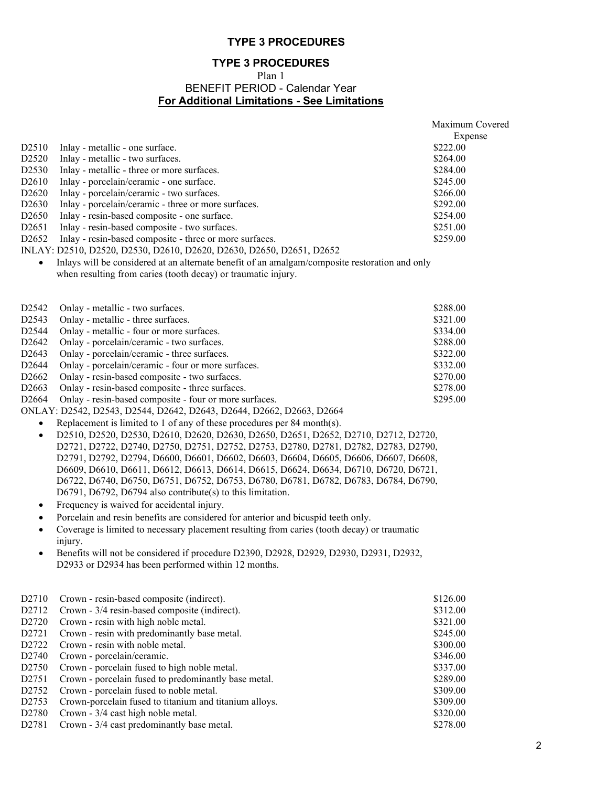# TYPE 3 PROCEDURES

Plan 1

## BENEFIT PERIOD - Calendar Year For Additional Limitations - See Limitations

|                   |                                                                      | Maximum Covered |
|-------------------|----------------------------------------------------------------------|-----------------|
|                   |                                                                      | Expense         |
| D <sub>2510</sub> | Inlay - metallic - one surface.                                      | \$222.00        |
| D <sub>2520</sub> | Inlay - metallic - two surfaces.                                     | \$264.00        |
| D <sub>2530</sub> | Inlay - metallic - three or more surfaces.                           | \$284.00        |
| D <sub>2610</sub> | Inlay - porcelain/ceramic - one surface.                             | \$245.00        |
| D <sub>2620</sub> | Inlay - porcelain/ceramic - two surfaces.                            | \$266.00        |
| D <sub>2630</sub> | Inlay - porcelain/ceramic - three or more surfaces.                  | \$292.00        |
| D <sub>2650</sub> | Inlay - resin-based composite - one surface.                         | \$254.00        |
| D <sub>2651</sub> | Inlay - resin-based composite - two surfaces.                        | \$251.00        |
|                   | D2652 Inlay - resin-based composite - three or more surfaces.        | \$259.00        |
|                   | INLAY: D2510, D2520, D2530, D2610, D2620, D2630, D2650, D2651, D2652 |                 |

 Inlays will be considered at an alternate benefit of an amalgam/composite restoration and only when resulting from caries (tooth decay) or traumatic injury.

|                   | D2542 Onlay - metallic - two surfaces.                         | \$288.00 |
|-------------------|----------------------------------------------------------------|----------|
| D <sub>2543</sub> | Onlay - metallic - three surfaces.                             | \$321.00 |
| D <sub>2544</sub> | Onlay - metallic - four or more surfaces.                      | \$334.00 |
| D2642             | Onlay - porcelain/ceramic - two surfaces.                      | \$288.00 |
| D <sub>2643</sub> | Onlay - porcelain/ceramic - three surfaces.                    | \$322.00 |
| D <sub>2644</sub> | Onlay - porcelain/ceramic - four or more surfaces.             | \$332.00 |
| D2662             | Onlay - resin-based composite - two surfaces.                  | \$270.00 |
| D <sub>2663</sub> | Onlay - resin-based composite - three surfaces.                | \$278.00 |
|                   | D2664 Onlay - resin-based composite - four or more surfaces.   | \$295.00 |
|                   | ONILAY, DO540, DO544, DO640, DO642, DO644, DO660, DO662, DO664 |          |

ONLAY: D2542, D2543, D2544, D2642, D2643, D2644, D2662, D2663, D2664

- Replacement is limited to 1 of any of these procedures per 84 month(s).
	- D2510, D2520, D2530, D2610, D2620, D2630, D2650, D2651, D2652, D2710, D2712, D2720, D2721, D2722, D2740, D2750, D2751, D2752, D2753, D2780, D2781, D2782, D2783, D2790, D2791, D2792, D2794, D6600, D6601, D6602, D6603, D6604, D6605, D6606, D6607, D6608, D6609, D6610, D6611, D6612, D6613, D6614, D6615, D6624, D6634, D6710, D6720, D6721, D6722, D6740, D6750, D6751, D6752, D6753, D6780, D6781, D6782, D6783, D6784, D6790, D6791, D6792, D6794 also contribute(s) to this limitation.
- Frequency is waived for accidental injury.
- Porcelain and resin benefits are considered for anterior and bicuspid teeth only.
- Coverage is limited to necessary placement resulting from caries (tooth decay) or traumatic injury.
- Benefits will not be considered if procedure D2390, D2928, D2929, D2930, D2931, D2932, D2933 or D2934 has been performed within 12 months.

| D <sub>2710</sub> | Crown - resin-based composite (indirect).              | \$126.00 |
|-------------------|--------------------------------------------------------|----------|
| D2712             | Crown - 3/4 resin-based composite (indirect).          | \$312.00 |
| D <sub>2720</sub> | Crown - resin with high noble metal.                   | \$321.00 |
| D2721             | Crown - resin with predominantly base metal.           | \$245.00 |
| D2722             | Crown - resin with noble metal.                        | \$300.00 |
| D <sub>2740</sub> | Crown - porcelain/ceramic.                             | \$346.00 |
| D <sub>2750</sub> | Crown - porcelain fused to high noble metal.           | \$337.00 |
| D2751             | Crown - porcelain fused to predominantly base metal.   | \$289.00 |
| D <sub>2752</sub> | Crown - porcelain fused to noble metal.                | \$309.00 |
| D <sub>2753</sub> | Crown-porcelain fused to titanium and titanium alloys. | \$309.00 |
| D <sub>2780</sub> | Crown - 3/4 cast high noble metal.                     | \$320.00 |
| D <sub>2781</sub> | Crown - 3/4 cast predominantly base metal.             | \$278.00 |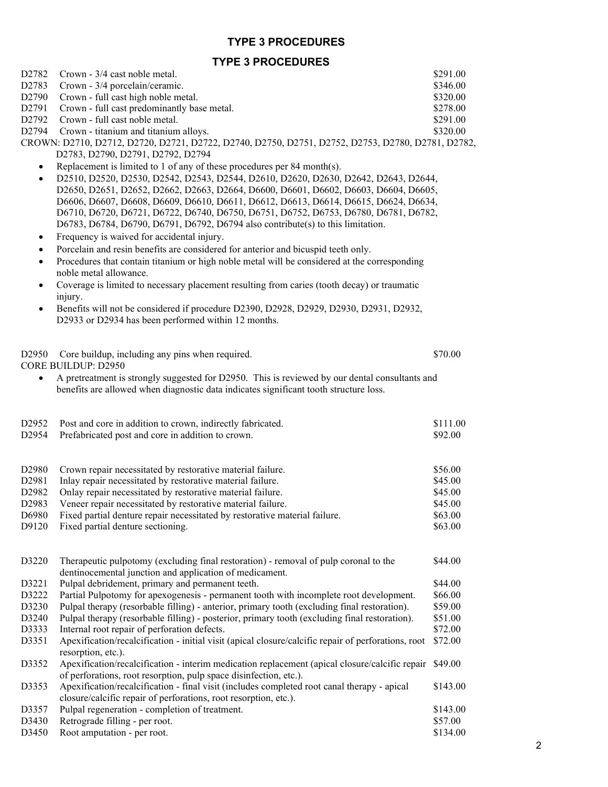## TYPE 3 PROCEDURES

| D2782             | Crown - 3/4 cast noble metal.                                                                                          | \$291.00 |  |  |
|-------------------|------------------------------------------------------------------------------------------------------------------------|----------|--|--|
| D2783             | Crown - 3/4 porcelain/ceramic.                                                                                         | \$346.00 |  |  |
| D <sub>2790</sub> | Crown - full cast high noble metal.                                                                                    |          |  |  |
| D2791             | Crown - full cast predominantly base metal.                                                                            |          |  |  |
| D2792             | Crown - full cast noble metal.                                                                                         |          |  |  |
| D2794             | Crown - titanium and titanium alloys.                                                                                  |          |  |  |
|                   | CROWN: D2710, D2712, D2720, D2721, D2722, D2740, D2750, D2751, D2752, D2753, D2780, D2781, D2782,                      | \$320.00 |  |  |
|                   | D2783, D2790, D2791, D2792, D2794                                                                                      |          |  |  |
| $\bullet$         | Replacement is limited to 1 of any of these procedures per 84 month(s).                                                |          |  |  |
| $\bullet$         | D2510, D2520, D2530, D2542, D2543, D2544, D2610, D2620, D2630, D2642, D2643, D2644,                                    |          |  |  |
|                   | D2650, D2651, D2652, D2662, D2663, D2664, D6600, D6601, D6602, D6603, D6604, D6605,                                    |          |  |  |
|                   | D6606, D6607, D6608, D6609, D6610, D6611, D6612, D6613, D6614, D6615, D6624, D6634,                                    |          |  |  |
|                   | D6710, D6720, D6721, D6722, D6740, D6750, D6751, D6752, D6753, D6780, D6781, D6782,                                    |          |  |  |
|                   | D6783, D6784, D6790, D6791, D6792, D6794 also contribute(s) to this limitation.                                        |          |  |  |
|                   |                                                                                                                        |          |  |  |
| $\bullet$         | Frequency is waived for accidental injury.                                                                             |          |  |  |
| $\bullet$         | Porcelain and resin benefits are considered for anterior and bicuspid teeth only.                                      |          |  |  |
| $\bullet$         | Procedures that contain titanium or high noble metal will be considered at the corresponding<br>noble metal allowance. |          |  |  |
| $\bullet$         | Coverage is limited to necessary placement resulting from caries (tooth decay) or traumatic                            |          |  |  |
|                   | injury.                                                                                                                |          |  |  |
| $\bullet$         | Benefits will not be considered if procedure D2390, D2928, D2929, D2930, D2931, D2932,                                 |          |  |  |
|                   | D2933 or D2934 has been performed within 12 months.                                                                    |          |  |  |
|                   |                                                                                                                        |          |  |  |
|                   |                                                                                                                        |          |  |  |
| D <sub>2950</sub> | Core buildup, including any pins when required.                                                                        | \$70.00  |  |  |
|                   | <b>CORE BUILDUP: D2950</b>                                                                                             |          |  |  |
| $\bullet$         | A pretreatment is strongly suggested for D2950. This is reviewed by our dental consultants and                         |          |  |  |
|                   | benefits are allowed when diagnostic data indicates significant tooth structure loss.                                  |          |  |  |
|                   |                                                                                                                        |          |  |  |
|                   |                                                                                                                        |          |  |  |
| D <sub>2952</sub> | Post and core in addition to crown, indirectly fabricated.                                                             | \$111.00 |  |  |
| D2954             | Prefabricated post and core in addition to crown.                                                                      | \$92.00  |  |  |
|                   |                                                                                                                        |          |  |  |
|                   |                                                                                                                        |          |  |  |
| D2980             | Crown repair necessitated by restorative material failure.                                                             | \$56.00  |  |  |
| D2981             | Inlay repair necessitated by restorative material failure.                                                             | \$45.00  |  |  |
| D2982             | Onlay repair necessitated by restorative material failure.                                                             | \$45.00  |  |  |
| D2983             | Veneer repair necessitated by restorative material failure.                                                            | \$45.00  |  |  |
| D6980             | Fixed partial denture repair necessitated by restorative material failure.                                             | \$63.00  |  |  |
| D9120             | Fixed partial denture sectioning.                                                                                      | \$63.00  |  |  |
|                   |                                                                                                                        |          |  |  |
|                   |                                                                                                                        |          |  |  |
| D3220             | Therapeutic pulpotomy (excluding final restoration) - removal of pulp coronal to the                                   | \$44.00  |  |  |
|                   | dentinocemental junction and application of medicament.                                                                |          |  |  |
| D3221             | Pulpal debridement, primary and permanent teeth.                                                                       | \$44.00  |  |  |
| D3222             | Partial Pulpotomy for apexogenesis - permanent tooth with incomplete root development.                                 | \$66.00  |  |  |
| D3230             | Pulpal therapy (resorbable filling) - anterior, primary tooth (excluding final restoration).                           | \$59.00  |  |  |
| D3240             | Pulpal therapy (resorbable filling) - posterior, primary tooth (excluding final restoration).                          | \$51.00  |  |  |
|                   |                                                                                                                        |          |  |  |
| D3333             | Internal root repair of perforation defects.                                                                           | \$72.00  |  |  |
| D3351             | Apexification/recalcification - initial visit (apical closure/calcific repair of perforations, root                    | \$72.00  |  |  |
|                   | resorption, etc.).                                                                                                     |          |  |  |
| D3352             | Apexification/recalcification - interim medication replacement (apical closure/calcific repair \$49.00                 |          |  |  |
|                   | of perforations, root resorption, pulp space disinfection, etc.).                                                      |          |  |  |
| D3353             | Apexification/recalcification - final visit (includes completed root canal therapy - apical                            | \$143.00 |  |  |
|                   | closure/calcific repair of perforations, root resorption, etc.).                                                       |          |  |  |
| D3357             | Pulpal regeneration - completion of treatment.                                                                         | \$143.00 |  |  |
| D3430             | Retrograde filling - per root.                                                                                         | \$57.00  |  |  |
| D3450             | Root amputation - per root.                                                                                            | \$134.00 |  |  |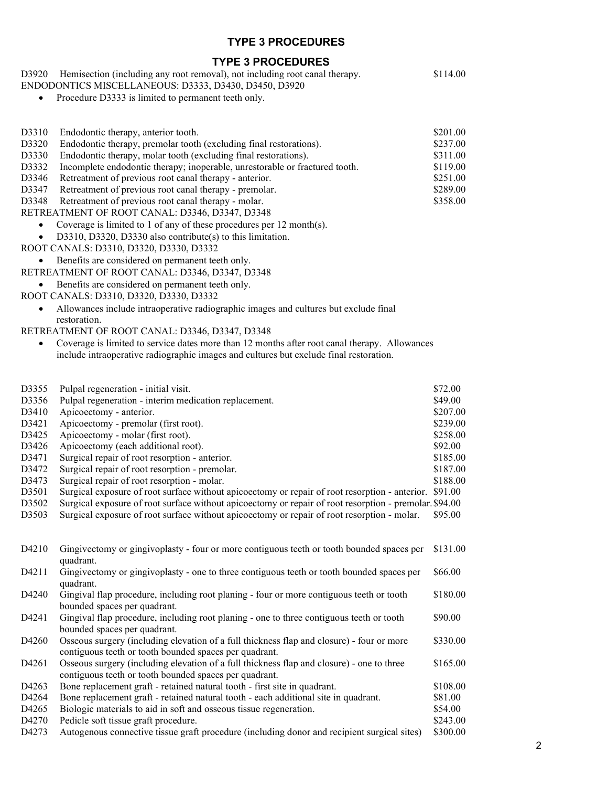# TYPE 3 PROCEDURES

|                                                                                                  | TYPE 3 PROCEDURES                                                                                      |          |  |  |
|--------------------------------------------------------------------------------------------------|--------------------------------------------------------------------------------------------------------|----------|--|--|
| Hemisection (including any root removal), not including root canal therapy.<br>\$114.00<br>D3920 |                                                                                                        |          |  |  |
| ENDODONTICS MISCELLANEOUS: D3333, D3430, D3450, D3920                                            |                                                                                                        |          |  |  |
| $\bullet$                                                                                        | Procedure D3333 is limited to permanent teeth only.                                                    |          |  |  |
|                                                                                                  |                                                                                                        |          |  |  |
|                                                                                                  |                                                                                                        |          |  |  |
| D3310                                                                                            | Endodontic therapy, anterior tooth.                                                                    | \$201.00 |  |  |
| D3320                                                                                            | Endodontic therapy, premolar tooth (excluding final restorations).                                     | \$237.00 |  |  |
| D3330                                                                                            | Endodontic therapy, molar tooth (excluding final restorations).                                        | \$311.00 |  |  |
| D3332                                                                                            | Incomplete endodontic therapy; inoperable, unrestorable or fractured tooth.                            | \$119.00 |  |  |
| D3346                                                                                            | Retreatment of previous root canal therapy - anterior.                                                 | \$251.00 |  |  |
| D3347                                                                                            | Retreatment of previous root canal therapy - premolar.                                                 | \$289.00 |  |  |
| D3348                                                                                            | Retreatment of previous root canal therapy - molar.                                                    | \$358.00 |  |  |
|                                                                                                  | RETREATMENT OF ROOT CANAL: D3346, D3347, D3348                                                         |          |  |  |
| $\bullet$                                                                                        | Coverage is limited to 1 of any of these procedures per 12 month(s).                                   |          |  |  |
| $\bullet$                                                                                        | D3310, D3320, D3330 also contribute(s) to this limitation.                                             |          |  |  |
|                                                                                                  | ROOT CANALS: D3310, D3320, D3330, D3332                                                                |          |  |  |
| $\bullet$                                                                                        | Benefits are considered on permanent teeth only.                                                       |          |  |  |
|                                                                                                  | RETREATMENT OF ROOT CANAL: D3346, D3347, D3348                                                         |          |  |  |
| $\bullet$                                                                                        | Benefits are considered on permanent teeth only.                                                       |          |  |  |
|                                                                                                  | ROOT CANALS: D3310, D3320, D3330, D3332                                                                |          |  |  |
| $\bullet$                                                                                        | Allowances include intraoperative radiographic images and cultures but exclude final                   |          |  |  |
|                                                                                                  | restoration.                                                                                           |          |  |  |
|                                                                                                  | RETREATMENT OF ROOT CANAL: D3346, D3347, D3348                                                         |          |  |  |
| $\bullet$                                                                                        | Coverage is limited to service dates more than 12 months after root canal therapy. Allowances          |          |  |  |
|                                                                                                  | include intraoperative radiographic images and cultures but exclude final restoration.                 |          |  |  |
|                                                                                                  |                                                                                                        |          |  |  |
|                                                                                                  |                                                                                                        |          |  |  |
| D3355                                                                                            | Pulpal regeneration - initial visit.                                                                   | \$72.00  |  |  |
| D3356                                                                                            | Pulpal regeneration - interim medication replacement.                                                  | \$49.00  |  |  |
| D3410                                                                                            | Apicoectomy - anterior.                                                                                | \$207.00 |  |  |
| D3421                                                                                            | Apicoectomy - premolar (first root).                                                                   | \$239.00 |  |  |
| D3425                                                                                            | Apicoectomy - molar (first root).                                                                      | \$258.00 |  |  |
| D3426                                                                                            | Apicoectomy (each additional root).                                                                    | \$92.00  |  |  |
| D3471                                                                                            | Surgical repair of root resorption - anterior.                                                         | \$185.00 |  |  |
| D3472                                                                                            | Surgical repair of root resorption - premolar.                                                         | \$187.00 |  |  |
| D3473                                                                                            | Surgical repair of root resorption - molar.                                                            | \$188.00 |  |  |
| D3501                                                                                            | Surgical exposure of root surface without apicoectomy or repair of root resorption - anterior. \$91.00 |          |  |  |
| D3502                                                                                            | Surgical exposure of root surface without apicoectomy or repair of root resorption - premolar. \$94.00 |          |  |  |
| D3503                                                                                            | Surgical exposure of root surface without apicoectomy or repair of root resorption - molar.            | \$95.00  |  |  |
|                                                                                                  |                                                                                                        |          |  |  |
|                                                                                                  |                                                                                                        |          |  |  |
| D4210                                                                                            | Gingivectomy or gingivoplasty - four or more contiguous teeth or tooth bounded spaces per              | \$131.00 |  |  |
|                                                                                                  | quadrant.                                                                                              |          |  |  |
| D4211                                                                                            | Gingivectomy or gingivoplasty - one to three contiguous teeth or tooth bounded spaces per              | \$66.00  |  |  |
|                                                                                                  | quadrant.                                                                                              |          |  |  |
| D4240                                                                                            | Gingival flap procedure, including root planing - four or more contiguous teeth or tooth               | \$180.00 |  |  |
|                                                                                                  | bounded spaces per quadrant.                                                                           |          |  |  |
| D4241                                                                                            | Gingival flap procedure, including root planing - one to three contiguous teeth or tooth               | \$90.00  |  |  |
|                                                                                                  | bounded spaces per quadrant.                                                                           |          |  |  |
| D4260                                                                                            | Osseous surgery (including elevation of a full thickness flap and closure) - four or more              | \$330.00 |  |  |
|                                                                                                  | contiguous teeth or tooth bounded spaces per quadrant.                                                 |          |  |  |
| D4261                                                                                            | Osseous surgery (including elevation of a full thickness flap and closure) - one to three              | \$165.00 |  |  |
|                                                                                                  | contiguous teeth or tooth bounded spaces per quadrant.                                                 |          |  |  |
| D4263                                                                                            | Bone replacement graft - retained natural tooth - first site in quadrant.                              | \$108.00 |  |  |
| D4264                                                                                            | Bone replacement graft - retained natural tooth - each additional site in quadrant.                    | \$81.00  |  |  |
| D4265                                                                                            | Biologic materials to aid in soft and osseous tissue regeneration.                                     | \$54.00  |  |  |

- D4270 Pedicle soft tissue graft procedure. \$243.00
- D4273 Autogenous connective tissue graft procedure (including donor and recipient surgical sites) \$300.00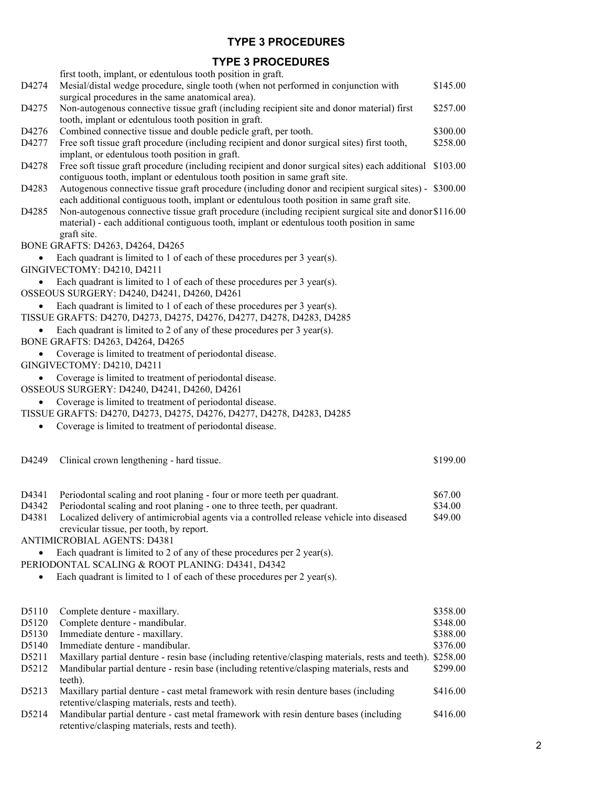# TYPE 3 PROCEDURES

|       | <u>I YPE 3 PRUUEDUKES</u>                                                                                                                                   |          |
|-------|-------------------------------------------------------------------------------------------------------------------------------------------------------------|----------|
|       | first tooth, implant, or edentulous tooth position in graft.                                                                                                |          |
| D4274 | Mesial/distal wedge procedure, single tooth (when not performed in conjunction with                                                                         | \$145.00 |
|       | surgical procedures in the same anatomical area).                                                                                                           |          |
| D4275 | Non-autogenous connective tissue graft (including recipient site and donor material) first                                                                  | \$257.00 |
|       | tooth, implant or edentulous tooth position in graft.                                                                                                       |          |
| D4276 | Combined connective tissue and double pedicle graft, per tooth.                                                                                             | \$300.00 |
| D4277 | Free soft tissue graft procedure (including recipient and donor surgical sites) first tooth,                                                                | \$258.00 |
| D4278 | implant, or edentulous tooth position in graft.<br>Free soft tissue graft procedure (including recipient and donor surgical sites) each additional \$103.00 |          |
|       | contiguous tooth, implant or edentulous tooth position in same graft site.                                                                                  |          |
| D4283 | Autogenous connective tissue graft procedure (including donor and recipient surgical sites) - \$300.00                                                      |          |
|       | each additional contiguous tooth, implant or edentulous tooth position in same graft site.                                                                  |          |
| D4285 | Non-autogenous connective tissue graft procedure (including recipient surgical site and donor \$116.00                                                      |          |
|       | material) - each additional contiguous tooth, implant or edentulous tooth position in same                                                                  |          |
|       | graft site.                                                                                                                                                 |          |
|       | BONE GRAFTS: D4263, D4264, D4265                                                                                                                            |          |
|       | Each quadrant is limited to 1 of each of these procedures per 3 year(s).                                                                                    |          |
|       | GINGIVECTOMY: D4210, D4211                                                                                                                                  |          |
|       | Each quadrant is limited to 1 of each of these procedures per 3 year(s).                                                                                    |          |
|       | OSSEOUS SURGERY: D4240, D4241, D4260, D4261                                                                                                                 |          |
|       | Each quadrant is limited to 1 of each of these procedures per 3 year(s).                                                                                    |          |
|       | TISSUE GRAFTS: D4270, D4273, D4275, D4276, D4277, D4278, D4283, D4285                                                                                       |          |
|       | Each quadrant is limited to 2 of any of these procedures per 3 year(s).                                                                                     |          |
|       | BONE GRAFTS: D4263, D4264, D4265                                                                                                                            |          |
|       | Coverage is limited to treatment of periodontal disease.                                                                                                    |          |
|       | GINGIVECTOMY: D4210, D4211                                                                                                                                  |          |
|       | Coverage is limited to treatment of periodontal disease.                                                                                                    |          |
|       | OSSEOUS SURGERY: D4240, D4241, D4260, D4261                                                                                                                 |          |
|       | Coverage is limited to treatment of periodontal disease.                                                                                                    |          |
|       | TISSUE GRAFTS: D4270, D4273, D4275, D4276, D4277, D4278, D4283, D4285                                                                                       |          |
|       | Coverage is limited to treatment of periodontal disease.                                                                                                    |          |
|       |                                                                                                                                                             |          |
|       |                                                                                                                                                             |          |
| D4249 | Clinical crown lengthening - hard tissue.                                                                                                                   | \$199.00 |
|       |                                                                                                                                                             |          |
|       |                                                                                                                                                             |          |
| D4341 | Periodontal scaling and root planing - four or more teeth per quadrant.                                                                                     | \$67.00  |
| D4342 | Periodontal scaling and root planing - one to three teeth, per quadrant.                                                                                    | \$34.00  |
| D4381 | Localized delivery of antimicrobial agents via a controlled release vehicle into diseased                                                                   | \$49.00  |
|       | crevicular tissue, per tooth, by report.                                                                                                                    |          |
|       | ANTIMICROBIAL AGENTS: D4381                                                                                                                                 |          |
|       | Each quadrant is limited to 2 of any of these procedures per 2 year(s).                                                                                     |          |
|       | PERIODONTAL SCALING & ROOT PLANING: D4341, D4342                                                                                                            |          |
|       | Each quadrant is limited to 1 of each of these procedures per 2 year(s).                                                                                    |          |
|       |                                                                                                                                                             |          |
|       |                                                                                                                                                             |          |
| D5110 | Complete denture - maxillary.                                                                                                                               | \$358.00 |
| D5120 | Complete denture - mandibular.                                                                                                                              | \$348.00 |
| D5130 | Immediate denture - maxillary.                                                                                                                              | \$388.00 |
| D5140 | Immediate denture - mandibular.                                                                                                                             | \$376.00 |
| D5211 | Maxillary partial denture - resin base (including retentive/clasping materials, rests and teeth). \$258.00                                                  |          |
| D5212 | Mandibular partial denture - resin base (including retentive/clasping materials, rests and                                                                  | \$299.00 |
|       | teeth).                                                                                                                                                     |          |
| D5213 | Maxillary partial denture - cast metal framework with resin denture bases (including                                                                        | \$416.00 |
|       | retentive/clasping materials, rests and teeth).                                                                                                             |          |
| D5214 | Mandibular partial denture - cast metal framework with resin denture bases (including                                                                       | \$416.00 |
|       | retentive/clasping materials, rests and teeth).                                                                                                             |          |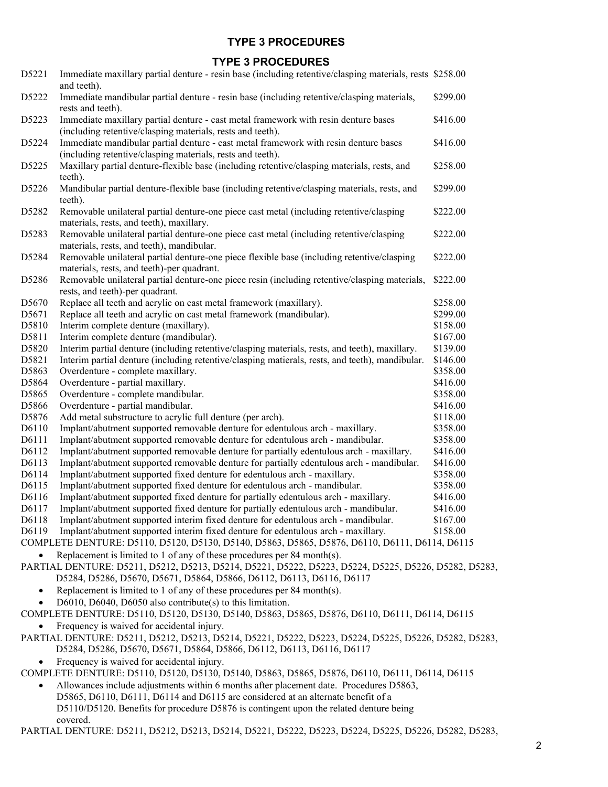## TYPE 3 PROCEDURES

| D5221     | Immediate maxillary partial denture - resin base (including retentive/clasping materials, rests \$258.00<br>and teeth).                                                      |          |
|-----------|------------------------------------------------------------------------------------------------------------------------------------------------------------------------------|----------|
| D5222     | Immediate mandibular partial denture - resin base (including retentive/clasping materials,<br>rests and teeth).                                                              | \$299.00 |
| D5223     | Immediate maxillary partial denture - cast metal framework with resin denture bases<br>(including retentive/clasping materials, rests and teeth).                            | \$416.00 |
| D5224     | Immediate mandibular partial denture - cast metal framework with resin denture bases<br>(including retentive/clasping materials, rests and teeth).                           | \$416.00 |
| D5225     | Maxillary partial denture-flexible base (including retentive/clasping materials, rests, and<br>teeth).                                                                       | \$258.00 |
| D5226     | Mandibular partial denture-flexible base (including retentive/clasping materials, rests, and<br>teeth).                                                                      | \$299.00 |
| D5282     | Removable unilateral partial denture-one piece cast metal (including retentive/clasping<br>materials, rests, and teeth), maxillary.                                          | \$222.00 |
| D5283     | Removable unilateral partial denture-one piece cast metal (including retentive/clasping<br>materials, rests, and teeth), mandibular.                                         | \$222.00 |
| D5284     | Removable unilateral partial denture-one piece flexible base (including retentive/clasping<br>materials, rests, and teeth)-per quadrant.                                     | \$222.00 |
| D5286     | Removable unilateral partial denture-one piece resin (including retentive/clasping materials,<br>rests, and teeth)-per quadrant.                                             | \$222.00 |
| D5670     | Replace all teeth and acrylic on cast metal framework (maxillary).                                                                                                           | \$258.00 |
| D5671     | Replace all teeth and acrylic on cast metal framework (mandibular).                                                                                                          | \$299.00 |
| D5810     | Interim complete denture (maxillary).                                                                                                                                        | \$158.00 |
| D5811     | Interim complete denture (mandibular).                                                                                                                                       | \$167.00 |
| D5820     | Interim partial denture (including retentive/clasping materials, rests, and teeth), maxillary.                                                                               | \$139.00 |
| D5821     | Interim partial denture (including retentive/clasping matierals, rests, and teeth), mandibular.                                                                              | \$146.00 |
| D5863     | Overdenture - complete maxillary.                                                                                                                                            | \$358.00 |
| D5864     | Overdenture - partial maxillary.                                                                                                                                             | \$416.00 |
| D5865     | Overdenture - complete mandibular.                                                                                                                                           | \$358.00 |
| D5866     | Overdenture - partial mandibular.                                                                                                                                            | \$416.00 |
| D5876     | Add metal substructure to acrylic full denture (per arch).                                                                                                                   | \$118.00 |
| D6110     | Implant/abutment supported removable denture for edentulous arch - maxillary.                                                                                                | \$358.00 |
| D6111     | Implant/abutment supported removable denture for edentulous arch - mandibular.                                                                                               | \$358.00 |
| D6112     | Implant/abutment supported removable denture for partially edentulous arch - maxillary.                                                                                      | \$416.00 |
| D6113     | Implant/abutment supported removable denture for partially edentulous arch - mandibular.                                                                                     | \$416.00 |
| D6114     | Implant/abutment supported fixed denture for edentulous arch - maxillary.                                                                                                    | \$358.00 |
| D6115     | Implant/abutment supported fixed denture for edentulous arch - mandibular.                                                                                                   | \$358.00 |
| D6116     | Implant/abutment supported fixed denture for partially edentulous arch - maxillary.                                                                                          | \$416.00 |
| D6117     | Implant/abutment supported fixed denture for partially edentulous arch - mandibular.                                                                                         | \$416.00 |
| D6118     | Implant/abutment supported interim fixed denture for edentulous arch - mandibular.                                                                                           | \$167.00 |
| D6119     | Implant/abutment supported interim fixed denture for edentulous arch - maxillary.                                                                                            | \$158.00 |
|           | COMPLETE DENTURE: D5110, D5120, D5130, D5140, D5863, D5865, D5876, D6110, D6111, D6114, D6115                                                                                |          |
|           | Replacement is limited to 1 of any of these procedures per 84 month(s).                                                                                                      |          |
|           | PARTIAL DENTURE: D5211, D5212, D5213, D5214, D5221, D5222, D5223, D5224, D5225, D5262, D5282, D5283,<br>D5284, D5286, D5670, D5671, D5864, D5866, D6112, D6113, D6116, D6117 |          |
| ٠         | Replacement is limited to 1 of any of these procedures per 84 month(s).                                                                                                      |          |
| $\bullet$ | D6010, D6040, D6050 also contribute(s) to this limitation.                                                                                                                   |          |
|           | COMPLETE DENTURE: D5110, D5120, D5130, D5140, D5863, D5865, D5876, D6110, D6111, D6114, D6115                                                                                |          |
|           | Frequency is waived for accidental injury.                                                                                                                                   |          |
|           | PARTIAL DENTURE: D5211, D5212, D5213, D5214, D5221, D5222, D5223, D5224, D5225, D5226, D5282, D5283,<br>D5284, D5286, D5670, D5671, D5864, D5866, D6112, D6113, D6116, D6117 |          |
| ٠         | Frequency is waived for accidental injury.                                                                                                                                   |          |
|           | COMPLETE DENTURE: D5110, D5120, D5130, D5140, D5863, D5865, D5876, D6110, D6111, D6114, D6115                                                                                |          |
|           | Allowances include adjustments within 6 months after placement date Procedures D5863                                                                                         |          |

 Allowances include adjustments within 6 months after placement date. Procedures D5863, D5865, D6110, D6111, D6114 and D6115 are considered at an alternate benefit of a D5110/D5120. Benefits for procedure D5876 is contingent upon the related denture being covered.

PARTIAL DENTURE: D5211, D5212, D5213, D5214, D5221, D5222, D5223, D5224, D5225, D5226, D5282, D5283,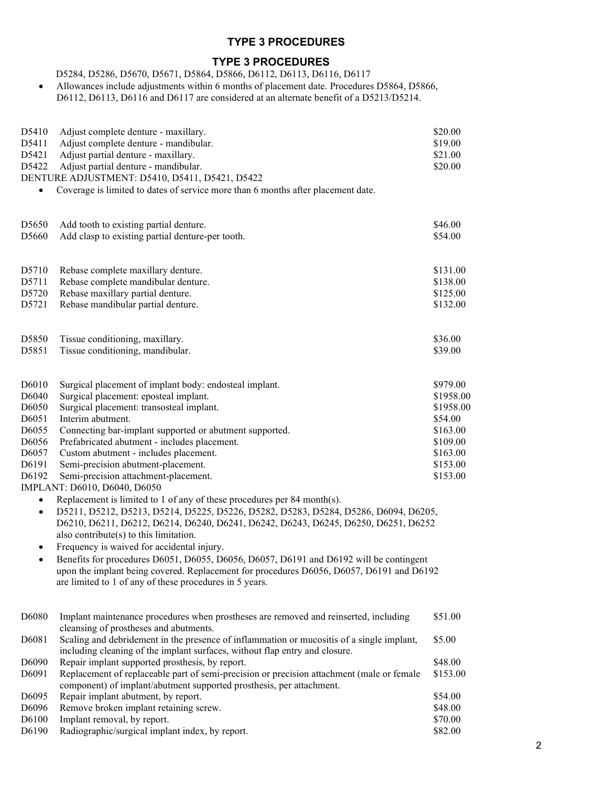## TYPE 3 PROCEDURES

D5284, D5286, D5670, D5671, D5864, D5866, D6112, D6113, D6116, D6117

 Allowances include adjustments within 6 months of placement date. Procedures D5864, D5866, D6112, D6113, D6116 and D6117 are considered at an alternate benefit of a D5213/D5214.

| D5410<br>D5411<br>D5421<br>D5422<br>$\bullet$                                                                                     | Adjust complete denture - maxillary.<br>Adjust complete denture - mandibular.<br>Adjust partial denture - maxillary.<br>Adjust partial denture - mandibular.<br>DENTURE ADJUSTMENT: D5410, D5411, D5421, D5422<br>Coverage is limited to dates of service more than 6 months after placement date.                                                                                                                                                                                                                                                                                                                                                                                                                                                                                                                                                                                                                                                                                                                                      | \$20.00<br>\$19.00<br>\$21.00<br>\$20.00                                                                  |  |  |
|-----------------------------------------------------------------------------------------------------------------------------------|-----------------------------------------------------------------------------------------------------------------------------------------------------------------------------------------------------------------------------------------------------------------------------------------------------------------------------------------------------------------------------------------------------------------------------------------------------------------------------------------------------------------------------------------------------------------------------------------------------------------------------------------------------------------------------------------------------------------------------------------------------------------------------------------------------------------------------------------------------------------------------------------------------------------------------------------------------------------------------------------------------------------------------------------|-----------------------------------------------------------------------------------------------------------|--|--|
| D <sub>5650</sub><br>D5660                                                                                                        | Add tooth to existing partial denture.<br>Add clasp to existing partial denture-per tooth.                                                                                                                                                                                                                                                                                                                                                                                                                                                                                                                                                                                                                                                                                                                                                                                                                                                                                                                                              | \$46.00<br>\$54.00                                                                                        |  |  |
| D5710<br>D5711<br>D5720<br>D5721                                                                                                  | Rebase complete maxillary denture.<br>Rebase complete mandibular denture.<br>Rebase maxillary partial denture.<br>Rebase mandibular partial denture.                                                                                                                                                                                                                                                                                                                                                                                                                                                                                                                                                                                                                                                                                                                                                                                                                                                                                    |                                                                                                           |  |  |
| D5850<br>D5851                                                                                                                    | Tissue conditioning, maxillary.<br>Tissue conditioning, mandibular.                                                                                                                                                                                                                                                                                                                                                                                                                                                                                                                                                                                                                                                                                                                                                                                                                                                                                                                                                                     | \$36.00<br>\$39.00                                                                                        |  |  |
| D6010<br>D6040<br>D6050<br>D6051<br>D6055<br>D6056<br>D6057<br>D6191<br>D6192<br>$\bullet$<br>$\bullet$<br>$\bullet$<br>$\bullet$ | Surgical placement of implant body: endosteal implant.<br>Surgical placement: eposteal implant.<br>Surgical placement: transosteal implant.<br>Interim abutment.<br>Connecting bar-implant supported or abutment supported.<br>Prefabricated abutment - includes placement.<br>Custom abutment - includes placement.<br>Semi-precision abutment-placement.<br>Semi-precision attachment-placement.<br>IMPLANT: D6010, D6040, D6050<br>Replacement is limited to 1 of any of these procedures per 84 month(s).<br>D5211, D5212, D5213, D5214, D5225, D5226, D5282, D5283, D5284, D5286, D6094, D6205,<br>D6210, D6211, D6212, D6214, D6240, D6241, D6242, D6243, D6245, D6250, D6251, D6252<br>also contribute( $s$ ) to this limitation.<br>Frequency is waived for accidental injury.<br>Benefits for procedures D6051, D6055, D6056, D6057, D6191 and D6192 will be contingent<br>upon the implant being covered. Replacement for procedures D6056, D6057, D6191 and D6192<br>are limited to 1 of any of these procedures in 5 years. | \$979.00<br>\$1958.00<br>\$1958.00<br>\$54.00<br>\$163.00<br>\$109.00<br>\$163.00<br>\$153.00<br>\$153.00 |  |  |
| D <sub>6080</sub>                                                                                                                 | Implant maintenance procedures when prostheses are removed and reinserted, including<br>cleansing of prostheses and abutments.                                                                                                                                                                                                                                                                                                                                                                                                                                                                                                                                                                                                                                                                                                                                                                                                                                                                                                          | \$51.00                                                                                                   |  |  |
| D6081                                                                                                                             | Scaling and debridement in the presence of inflammation or mucositis of a single implant,<br>including cleaning of the implant surfaces, without flap entry and closure.                                                                                                                                                                                                                                                                                                                                                                                                                                                                                                                                                                                                                                                                                                                                                                                                                                                                | \$5.00                                                                                                    |  |  |
| D6090                                                                                                                             | Repair implant supported prosthesis, by report.                                                                                                                                                                                                                                                                                                                                                                                                                                                                                                                                                                                                                                                                                                                                                                                                                                                                                                                                                                                         | \$48.00                                                                                                   |  |  |
| D6091                                                                                                                             | Replacement of replaceable part of semi-precision or precision attachment (male or female<br>\$153.00<br>component) of implant/abutment supported prosthesis, per attachment.                                                                                                                                                                                                                                                                                                                                                                                                                                                                                                                                                                                                                                                                                                                                                                                                                                                           |                                                                                                           |  |  |
| D6095                                                                                                                             | Repair implant abutment, by report.                                                                                                                                                                                                                                                                                                                                                                                                                                                                                                                                                                                                                                                                                                                                                                                                                                                                                                                                                                                                     | \$54.00                                                                                                   |  |  |
| D6096                                                                                                                             | Remove broken implant retaining screw.                                                                                                                                                                                                                                                                                                                                                                                                                                                                                                                                                                                                                                                                                                                                                                                                                                                                                                                                                                                                  | \$48.00                                                                                                   |  |  |
| D6100                                                                                                                             | Implant removal, by report.<br>\$70.00                                                                                                                                                                                                                                                                                                                                                                                                                                                                                                                                                                                                                                                                                                                                                                                                                                                                                                                                                                                                  |                                                                                                           |  |  |

|  | D6190 Radiographic/surgical implant index, by report. | \$82.00 |
|--|-------------------------------------------------------|---------|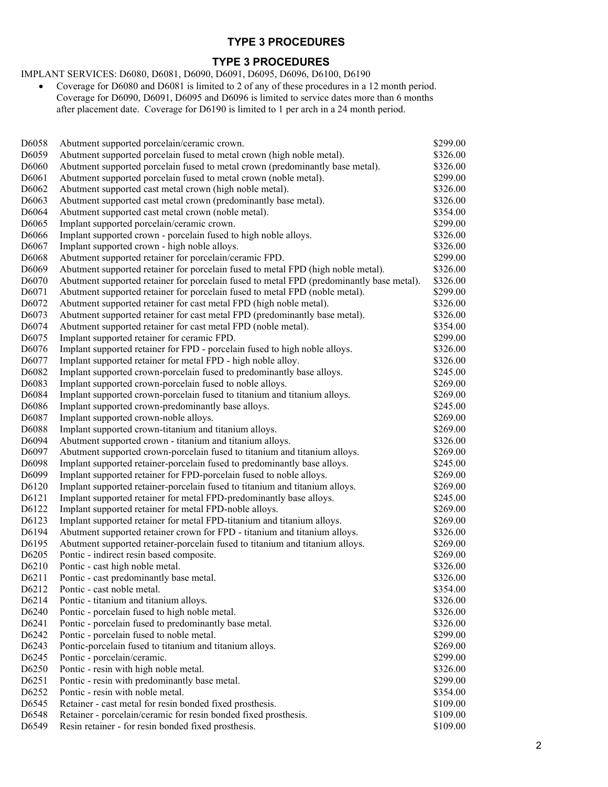### TYPE 3 PROCEDURES

IMPLANT SERVICES: D6080, D6081, D6090, D6091, D6095, D6096, D6100, D6190

 Coverage for D6080 and D6081 is limited to 2 of any of these procedures in a 12 month period. Coverage for D6090, D6091, D6095 and D6096 is limited to service dates more than 6 months after placement date. Coverage for D6190 is limited to 1 per arch in a 24 month period.

| D6058 | Abutment supported porcelain/ceramic crown.                                              | \$299.00 |
|-------|------------------------------------------------------------------------------------------|----------|
| D6059 | Abutment supported porcelain fused to metal crown (high noble metal).                    | \$326.00 |
| D6060 | Abutment supported porcelain fused to metal crown (predominantly base metal).            | \$326.00 |
| D6061 | Abutment supported porcelain fused to metal crown (noble metal).                         | \$299.00 |
| D6062 | Abutment supported cast metal crown (high noble metal).                                  | \$326.00 |
| D6063 | Abutment supported cast metal crown (predominantly base metal).                          | \$326.00 |
| D6064 | Abutment supported cast metal crown (noble metal).                                       | \$354.00 |
| D6065 | Implant supported porcelain/ceramic crown.                                               | \$299.00 |
| D6066 | Implant supported crown - porcelain fused to high noble alloys.                          | \$326.00 |
| D6067 | Implant supported crown - high noble alloys.                                             | \$326.00 |
| D6068 | Abutment supported retainer for porcelain/ceramic FPD.                                   | \$299.00 |
| D6069 | Abutment supported retainer for porcelain fused to metal FPD (high noble metal).         | \$326.00 |
| D6070 | Abutment supported retainer for porcelain fused to metal FPD (predominantly base metal). | \$326.00 |
| D6071 | Abutment supported retainer for porcelain fused to metal FPD (noble metal).              | \$299.00 |
| D6072 | Abutment supported retainer for cast metal FPD (high noble metal).                       | \$326.00 |
| D6073 | Abutment supported retainer for cast metal FPD (predominantly base metal).               | \$326.00 |
| D6074 | Abutment supported retainer for cast metal FPD (noble metal).                            | \$354.00 |
| D6075 | Implant supported retainer for ceramic FPD.                                              | \$299.00 |
| D6076 | Implant supported retainer for FPD - porcelain fused to high noble alloys.               | \$326.00 |
| D6077 | Implant supported retainer for metal FPD - high noble alloy.                             | \$326.00 |
| D6082 | Implant supported crown-porcelain fused to predominantly base alloys.                    | \$245.00 |
| D6083 | Implant supported crown-porcelain fused to noble alloys.                                 | \$269.00 |
| D6084 | Implant supported crown-porcelain fused to titanium and titanium alloys.                 | \$269.00 |
| D6086 | Implant supported crown-predominantly base alloys.                                       | \$245.00 |
| D6087 | Implant supported crown-noble alloys.                                                    | \$269.00 |
| D6088 | Implant supported crown-titanium and titanium alloys.                                    | \$269.00 |
| D6094 | Abutment supported crown - titanium and titanium alloys.                                 | \$326.00 |
| D6097 | Abutment supported crown-porcelain fused to titanium and titanium alloys.                | \$269.00 |
| D6098 | Implant supported retainer-porcelain fused to predominantly base alloys.                 | \$245.00 |
| D6099 | Implant supported retainer for FPD-porcelain fused to noble alloys.                      | \$269.00 |
| D6120 | Implant supported retainer-porcelain fused to titanium and titanium alloys.              | \$269.00 |
| D6121 | Implant supported retainer for metal FPD-predominantly base alloys.                      | \$245.00 |
| D6122 | Implant supported retainer for metal FPD-noble alloys.                                   | \$269.00 |
| D6123 | Implant supported retainer for metal FPD-titanium and titanium alloys.                   | \$269.00 |
| D6194 | Abutment supported retainer crown for FPD - titanium and titanium alloys.                | \$326.00 |
| D6195 | Abutment supported retainer-porcelain fused to titanium and titanium alloys.             | \$269.00 |
| D6205 | Pontic - indirect resin based composite.                                                 | \$269.00 |
| D6210 | Pontic - cast high noble metal.                                                          | \$326.00 |
| D6211 | Pontic - cast predominantly base metal.                                                  | \$326.00 |
| D6212 | Pontic - cast noble metal.                                                               | \$354.00 |
| D6214 | Pontic - titanium and titanium alloys.                                                   | \$326.00 |
| D6240 | Pontic - porcelain fused to high noble metal.                                            | \$326.00 |
| D6241 | Pontic - porcelain fused to predominantly base metal.                                    | \$326.00 |
| D6242 | Pontic - porcelain fused to noble metal.                                                 | \$299.00 |
| D6243 | Pontic-porcelain fused to titanium and titanium alloys.                                  | \$269.00 |
| D6245 | Pontic - porcelain/ceramic.                                                              | \$299.00 |
| D6250 | Pontic - resin with high noble metal.                                                    | \$326.00 |
| D6251 | Pontic - resin with predominantly base metal.                                            | \$299.00 |
| D6252 | Pontic - resin with noble metal.                                                         | \$354.00 |
| D6545 | Retainer - cast metal for resin bonded fixed prosthesis.                                 | \$109.00 |
| D6548 | Retainer - porcelain/ceramic for resin bonded fixed prosthesis.                          | \$109.00 |
| D6549 | Resin retainer - for resin bonded fixed prosthesis.                                      | \$109.00 |
|       |                                                                                          |          |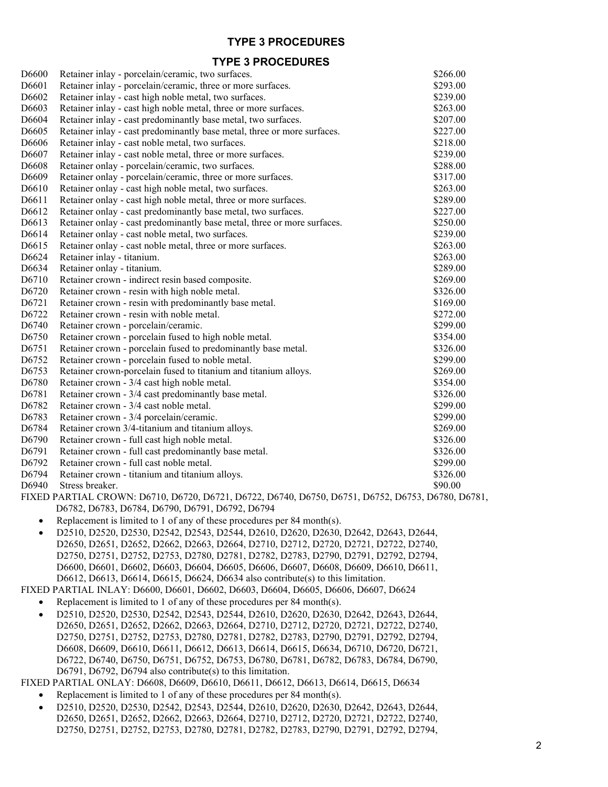### TYPE 3 PROCEDURES

| D6601<br>Retainer inlay - porcelain/ceramic, three or more surfaces.<br>\$293.00<br>D6602<br>Retainer inlay - cast high noble metal, two surfaces.<br>\$239.00<br>D6603<br>Retainer inlay - cast high noble metal, three or more surfaces.<br>\$263.00<br>D6604<br>Retainer inlay - cast predominantly base metal, two surfaces.<br>\$207.00<br>D6605<br>Retainer inlay - cast predominantly base metal, three or more surfaces.<br>\$227.00 |  |
|----------------------------------------------------------------------------------------------------------------------------------------------------------------------------------------------------------------------------------------------------------------------------------------------------------------------------------------------------------------------------------------------------------------------------------------------|--|
|                                                                                                                                                                                                                                                                                                                                                                                                                                              |  |
|                                                                                                                                                                                                                                                                                                                                                                                                                                              |  |
|                                                                                                                                                                                                                                                                                                                                                                                                                                              |  |
|                                                                                                                                                                                                                                                                                                                                                                                                                                              |  |
|                                                                                                                                                                                                                                                                                                                                                                                                                                              |  |
| D6606<br>Retainer inlay - cast noble metal, two surfaces.<br>\$218.00                                                                                                                                                                                                                                                                                                                                                                        |  |
| D6607<br>Retainer inlay - cast noble metal, three or more surfaces.<br>\$239.00                                                                                                                                                                                                                                                                                                                                                              |  |
| D <sub>6608</sub><br>Retainer onlay - porcelain/ceramic, two surfaces.<br>\$288.00                                                                                                                                                                                                                                                                                                                                                           |  |
| D6609<br>Retainer onlay - porcelain/ceramic, three or more surfaces.<br>\$317.00                                                                                                                                                                                                                                                                                                                                                             |  |
| D6610<br>Retainer onlay - cast high noble metal, two surfaces.<br>\$263.00                                                                                                                                                                                                                                                                                                                                                                   |  |
| D6611<br>Retainer onlay - cast high noble metal, three or more surfaces.<br>\$289.00                                                                                                                                                                                                                                                                                                                                                         |  |
| D6612<br>Retainer onlay - cast predominantly base metal, two surfaces.<br>\$227.00                                                                                                                                                                                                                                                                                                                                                           |  |
| D6613<br>Retainer onlay - cast predominantly base metal, three or more surfaces.<br>\$250.00                                                                                                                                                                                                                                                                                                                                                 |  |
| D6614<br>\$239.00<br>Retainer onlay - cast noble metal, two surfaces.                                                                                                                                                                                                                                                                                                                                                                        |  |
| D6615<br>Retainer onlay - cast noble metal, three or more surfaces.<br>\$263.00                                                                                                                                                                                                                                                                                                                                                              |  |
| D6624<br>Retainer inlay - titanium.<br>\$263.00                                                                                                                                                                                                                                                                                                                                                                                              |  |
| D6634<br>Retainer onlay - titanium.<br>\$289.00                                                                                                                                                                                                                                                                                                                                                                                              |  |
| D6710<br>Retainer crown - indirect resin based composite.<br>\$269.00                                                                                                                                                                                                                                                                                                                                                                        |  |
| D6720<br>Retainer crown - resin with high noble metal.<br>\$326.00                                                                                                                                                                                                                                                                                                                                                                           |  |
| D6721<br>Retainer crown - resin with predominantly base metal.<br>\$169.00                                                                                                                                                                                                                                                                                                                                                                   |  |
| D6722<br>Retainer crown - resin with noble metal.<br>\$272.00                                                                                                                                                                                                                                                                                                                                                                                |  |
| D6740<br>Retainer crown - porcelain/ceramic.<br>\$299.00                                                                                                                                                                                                                                                                                                                                                                                     |  |
| D6750<br>Retainer crown - porcelain fused to high noble metal.<br>\$354.00                                                                                                                                                                                                                                                                                                                                                                   |  |
| D6751<br>Retainer crown - porcelain fused to predominantly base metal.<br>\$326.00                                                                                                                                                                                                                                                                                                                                                           |  |
| D6752<br>Retainer crown - porcelain fused to noble metal.<br>\$299.00                                                                                                                                                                                                                                                                                                                                                                        |  |
| D6753<br>Retainer crown-porcelain fused to titanium and titanium alloys.<br>\$269.00                                                                                                                                                                                                                                                                                                                                                         |  |
| D6780<br>Retainer crown - 3/4 cast high noble metal.<br>\$354.00                                                                                                                                                                                                                                                                                                                                                                             |  |
| D6781<br>Retainer crown - 3/4 cast predominantly base metal.<br>\$326.00                                                                                                                                                                                                                                                                                                                                                                     |  |
| D6782<br>Retainer crown - 3/4 cast noble metal.<br>\$299.00                                                                                                                                                                                                                                                                                                                                                                                  |  |
| D6783<br>Retainer crown - 3/4 porcelain/ceramic.<br>\$299.00                                                                                                                                                                                                                                                                                                                                                                                 |  |
| D6784<br>Retainer crown 3/4-titanium and titanium alloys.<br>\$269.00                                                                                                                                                                                                                                                                                                                                                                        |  |
| D6790<br>Retainer crown - full cast high noble metal.<br>\$326.00                                                                                                                                                                                                                                                                                                                                                                            |  |
| D6791<br>Retainer crown - full cast predominantly base metal.<br>\$326.00                                                                                                                                                                                                                                                                                                                                                                    |  |
| D6792<br>Retainer crown - full cast noble metal.<br>\$299.00                                                                                                                                                                                                                                                                                                                                                                                 |  |
| D6794<br>Retainer crown - titanium and titanium alloys.<br>\$326.00                                                                                                                                                                                                                                                                                                                                                                          |  |
| D6940<br>Stress breaker.<br>\$90.00<br>EIVED BARTLU CROUNI D(510 D(520 D(521 D(522 D(540 D(550 D(551 D(552 D)<br>(7.52)<br>$\epsilon$ 700 $\Gamma$                                                                                                                                                                                                                                                                                           |  |

FIXED PARTIAL CROWN: D6710, D6720, D6721, D6722, D6740, D6750, D6751, D6752, D6753, D6780, D6781, D6782, D6783, D6784, D6790, D6791, D6792, D6794

- Replacement is limited to 1 of any of these procedures per 84 month(s).
	- D2510, D2520, D2530, D2542, D2543, D2544, D2610, D2620, D2630, D2642, D2643, D2644, D2650, D2651, D2652, D2662, D2663, D2664, D2710, D2712, D2720, D2721, D2722, D2740, D2750, D2751, D2752, D2753, D2780, D2781, D2782, D2783, D2790, D2791, D2792, D2794, D6600, D6601, D6602, D6603, D6604, D6605, D6606, D6607, D6608, D6609, D6610, D6611, D6612, D6613, D6614, D6615, D6624, D6634 also contribute(s) to this limitation.

FIXED PARTIAL INLAY: D6600, D6601, D6602, D6603, D6604, D6605, D6606, D6607, D6624

- Replacement is limited to 1 of any of these procedures per 84 month(s).
	- D2510, D2520, D2530, D2542, D2543, D2544, D2610, D2620, D2630, D2642, D2643, D2644, D2650, D2651, D2652, D2662, D2663, D2664, D2710, D2712, D2720, D2721, D2722, D2740, D2750, D2751, D2752, D2753, D2780, D2781, D2782, D2783, D2790, D2791, D2792, D2794, D6608, D6609, D6610, D6611, D6612, D6613, D6614, D6615, D6634, D6710, D6720, D6721, D6722, D6740, D6750, D6751, D6752, D6753, D6780, D6781, D6782, D6783, D6784, D6790, D6791, D6792, D6794 also contribute(s) to this limitation.

FIXED PARTIAL ONLAY: D6608, D6609, D6610, D6611, D6612, D6613, D6614, D6615, D6634

- Replacement is limited to 1 of any of these procedures per 84 month(s).
- D2510, D2520, D2530, D2542, D2543, D2544, D2610, D2620, D2630, D2642, D2643, D2644, D2650, D2651, D2652, D2662, D2663, D2664, D2710, D2712, D2720, D2721, D2722, D2740, D2750, D2751, D2752, D2753, D2780, D2781, D2782, D2783, D2790, D2791, D2792, D2794,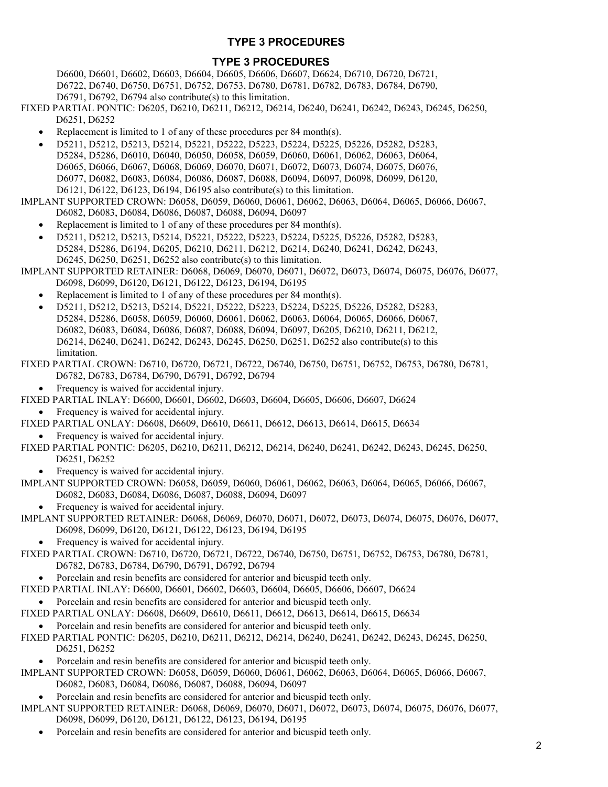D6600, D6601, D6602, D6603, D6604, D6605, D6606, D6607, D6624, D6710, D6720, D6721, D6722, D6740, D6750, D6751, D6752, D6753, D6780, D6781, D6782, D6783, D6784, D6790, D6791, D6792, D6794 also contribute(s) to this limitation.

- FIXED PARTIAL PONTIC: D6205, D6210, D6211, D6212, D6214, D6240, D6241, D6242, D6243, D6245, D6250, D6251, D6252
	- Replacement is limited to 1 of any of these procedures per 84 month(s).
	- D5211, D5212, D5213, D5214, D5221, D5222, D5223, D5224, D5225, D5226, D5282, D5283, D5284, D5286, D6010, D6040, D6050, D6058, D6059, D6060, D6061, D6062, D6063, D6064, D6065, D6066, D6067, D6068, D6069, D6070, D6071, D6072, D6073, D6074, D6075, D6076, D6077, D6082, D6083, D6084, D6086, D6087, D6088, D6094, D6097, D6098, D6099, D6120, D6121, D6122, D6123, D6194, D6195 also contribute(s) to this limitation.
- IMPLANT SUPPORTED CROWN: D6058, D6059, D6060, D6061, D6062, D6063, D6064, D6065, D6066, D6067, D6082, D6083, D6084, D6086, D6087, D6088, D6094, D6097
	- Replacement is limited to 1 of any of these procedures per 84 month(s).
	- D5211, D5212, D5213, D5214, D5221, D5222, D5223, D5224, D5225, D5226, D5282, D5283, D5284, D5286, D6194, D6205, D6210, D6211, D6212, D6214, D6240, D6241, D6242, D6243, D6245, D6250, D6251, D6252 also contribute(s) to this limitation.
- IMPLANT SUPPORTED RETAINER: D6068, D6069, D6070, D6071, D6072, D6073, D6074, D6075, D6076, D6077, D6098, D6099, D6120, D6121, D6122, D6123, D6194, D6195
	- Replacement is limited to 1 of any of these procedures per 84 month(s).
	- D5211, D5212, D5213, D5214, D5221, D5222, D5223, D5224, D5225, D5226, D5282, D5283, D5284, D5286, D6058, D6059, D6060, D6061, D6062, D6063, D6064, D6065, D6066, D6067, D6082, D6083, D6084, D6086, D6087, D6088, D6094, D6097, D6205, D6210, D6211, D6212, D6214, D6240, D6241, D6242, D6243, D6245, D6250, D6251, D6252 also contribute(s) to this limitation.

FIXED PARTIAL CROWN: D6710, D6720, D6721, D6722, D6740, D6750, D6751, D6752, D6753, D6780, D6781, D6782, D6783, D6784, D6790, D6791, D6792, D6794

- Frequency is waived for accidental injury.
- FIXED PARTIAL INLAY: D6600, D6601, D6602, D6603, D6604, D6605, D6606, D6607, D6624
	- Frequency is waived for accidental injury.
- FIXED PARTIAL ONLAY: D6608, D6609, D6610, D6611, D6612, D6613, D6614, D6615, D6634
- Frequency is waived for accidental injury.
- FIXED PARTIAL PONTIC: D6205, D6210, D6211, D6212, D6214, D6240, D6241, D6242, D6243, D6245, D6250, D6251, D6252
- Frequency is waived for accidental injury.
- IMPLANT SUPPORTED CROWN: D6058, D6059, D6060, D6061, D6062, D6063, D6064, D6065, D6066, D6067, D6082, D6083, D6084, D6086, D6087, D6088, D6094, D6097
- Frequency is waived for accidental injury.
- IMPLANT SUPPORTED RETAINER: D6068, D6069, D6070, D6071, D6072, D6073, D6074, D6075, D6076, D6077, D6098, D6099, D6120, D6121, D6122, D6123, D6194, D6195
	- Frequency is waived for accidental injury.
- FIXED PARTIAL CROWN: D6710, D6720, D6721, D6722, D6740, D6750, D6751, D6752, D6753, D6780, D6781, D6782, D6783, D6784, D6790, D6791, D6792, D6794
	- Porcelain and resin benefits are considered for anterior and bicuspid teeth only.
- FIXED PARTIAL INLAY: D6600, D6601, D6602, D6603, D6604, D6605, D6606, D6607, D6624
- Porcelain and resin benefits are considered for anterior and bicuspid teeth only.
- FIXED PARTIAL ONLAY: D6608, D6609, D6610, D6611, D6612, D6613, D6614, D6615, D6634
	- Porcelain and resin benefits are considered for anterior and bicuspid teeth only.
- FIXED PARTIAL PONTIC: D6205, D6210, D6211, D6212, D6214, D6240, D6241, D6242, D6243, D6245, D6250, D6251, D6252
	- Porcelain and resin benefits are considered for anterior and bicuspid teeth only.
- IMPLANT SUPPORTED CROWN: D6058, D6059, D6060, D6061, D6062, D6063, D6064, D6065, D6066, D6067, D6082, D6083, D6084, D6086, D6087, D6088, D6094, D6097
	- Porcelain and resin benefits are considered for anterior and bicuspid teeth only.
- IMPLANT SUPPORTED RETAINER: D6068, D6069, D6070, D6071, D6072, D6073, D6074, D6075, D6076, D6077, D6098, D6099, D6120, D6121, D6122, D6123, D6194, D6195
	- Porcelain and resin benefits are considered for anterior and bicuspid teeth only.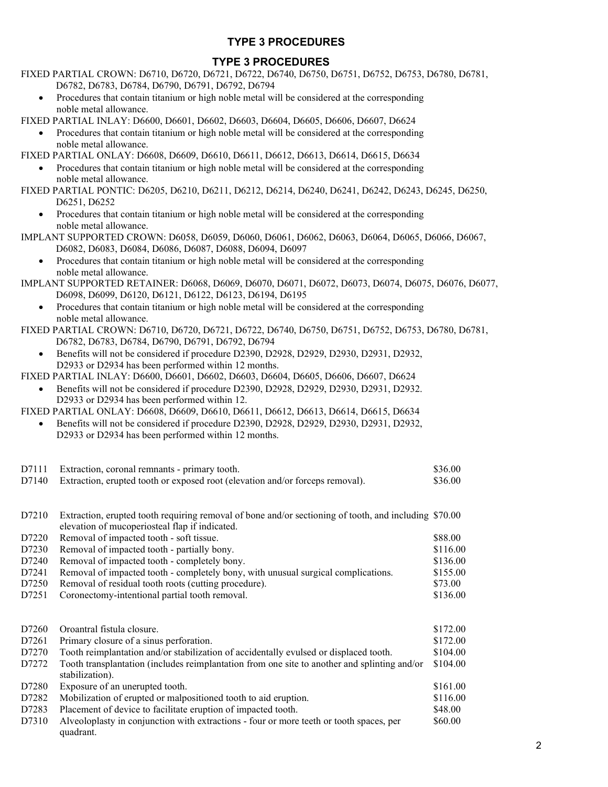#### TYPE 3 PROCEDURES

| FIXED PARTIAL CROWN: D6710, D6720, D6721, D6722, D6740, D6750, D6751, D6752, D6753, D6780, D6781,         |
|-----------------------------------------------------------------------------------------------------------|
| D6782, D6783, D6784, D6790, D6791, D6792, D6794                                                           |
| Procedures that contain titanium or high noble metal will be considered at the corresponding<br>$\bullet$ |
| noble metal allowance.                                                                                    |
| FIXED PARTIAL INLAY: D6600, D6601, D6602, D6603, D6604, D6605, D6606, D6607, D6624                        |
| Procedures that contain titanium or high noble metal will be considered at the corresponding<br>$\bullet$ |
| noble metal allowance.                                                                                    |
| FIXED PARTIAL ONLAY: D6608, D6609, D6610, D6611, D6612, D6613, D6614, D6615, D6634                        |
| Procedures that contain titanium or high noble metal will be considered at the corresponding<br>$\bullet$ |
| noble metal allowance.                                                                                    |
| FIXED PARTIAL PONTIC: D6205, D6210, D6211, D6212, D6214, D6240, D6241, D6242, D6243, D6245, D6250,        |
| D6251, D6252                                                                                              |

 Procedures that contain titanium or high noble metal will be considered at the corresponding noble metal allowance.

IMPLANT SUPPORTED CROWN: D6058, D6059, D6060, D6061, D6062, D6063, D6064, D6065, D6066, D6067, D6082, D6083, D6084, D6086, D6087, D6088, D6094, D6097

- Procedures that contain titanium or high noble metal will be considered at the corresponding noble metal allowance.
- IMPLANT SUPPORTED RETAINER: D6068, D6069, D6070, D6071, D6072, D6073, D6074, D6075, D6076, D6077, D6098, D6099, D6120, D6121, D6122, D6123, D6194, D6195
	- Procedures that contain titanium or high noble metal will be considered at the corresponding noble metal allowance.

FIXED PARTIAL CROWN: D6710, D6720, D6721, D6722, D6740, D6750, D6751, D6752, D6753, D6780, D6781, D6782, D6783, D6784, D6790, D6791, D6792, D6794

- Benefits will not be considered if procedure D2390, D2928, D2929, D2930, D2931, D2932, D2933 or D2934 has been performed within 12 months.
- FIXED PARTIAL INLAY: D6600, D6601, D6602, D6603, D6604, D6605, D6606, D6607, D6624
- Benefits will not be considered if procedure D2390, D2928, D2929, D2930, D2931, D2932. D2933 or D2934 has been performed within 12.
- FIXED PARTIAL ONLAY: D6608, D6609, D6610, D6611, D6612, D6613, D6614, D6615, D6634
	- Benefits will not be considered if procedure D2390, D2928, D2929, D2930, D2931, D2932, D2933 or D2934 has been performed within 12 months.

| D7111 Extraction, coronal remnants - primary tooth.                                   | \$36.00 |
|---------------------------------------------------------------------------------------|---------|
| $D7140$ Extraction, erupted tooth or exposed root (elevation and/or forceps removal). | \$36.00 |

| D7210 | Extraction, erupted tooth requiring removal of bone and/or sectioning of tooth, and including \$70.00 |          |
|-------|-------------------------------------------------------------------------------------------------------|----------|
|       | elevation of mucoperiosteal flap if indicated.                                                        |          |
| D7220 | Removal of impacted tooth - soft tissue.                                                              | \$88.00  |
| D7230 | Removal of impacted tooth - partially bony.                                                           | \$116.00 |
| D7240 | Removal of impacted tooth - completely bony.                                                          | \$136.00 |
|       |                                                                                                       |          |

| D7241 Removal of impacted tooth - completely bony, with unusual surgical complications. | \$155.00 |
|-----------------------------------------------------------------------------------------|----------|
| D7250 Removal of residual tooth roots (cutting procedure).                              | \$73.00  |
| D7251 Coronectomy-intentional partial tooth removal.                                    | \$136.00 |

| D7260 | Oroantral fistula closure.                                                                   | \$172.00 |
|-------|----------------------------------------------------------------------------------------------|----------|
| D7261 | Primary closure of a sinus perforation.                                                      | \$172.00 |
| D7270 | Tooth reimplantation and/or stabilization of accidentally evulsed or displaced tooth.        | \$104.00 |
| D7272 | Tooth transplantation (includes reimplantation from one site to another and splinting and/or | \$104.00 |
|       | stabilization).                                                                              |          |
| D7280 | Exposure of an unerupted tooth.                                                              | \$161.00 |
| D7282 | Mobilization of erupted or malpositioned tooth to aid eruption.                              | \$116.00 |
| D7283 | Placement of device to facilitate eruption of impacted tooth.                                | \$48.00  |
| D7310 | Alveoloplasty in conjunction with extractions - four or more teeth or tooth spaces, per      | \$60.00  |
|       | quadrant.                                                                                    |          |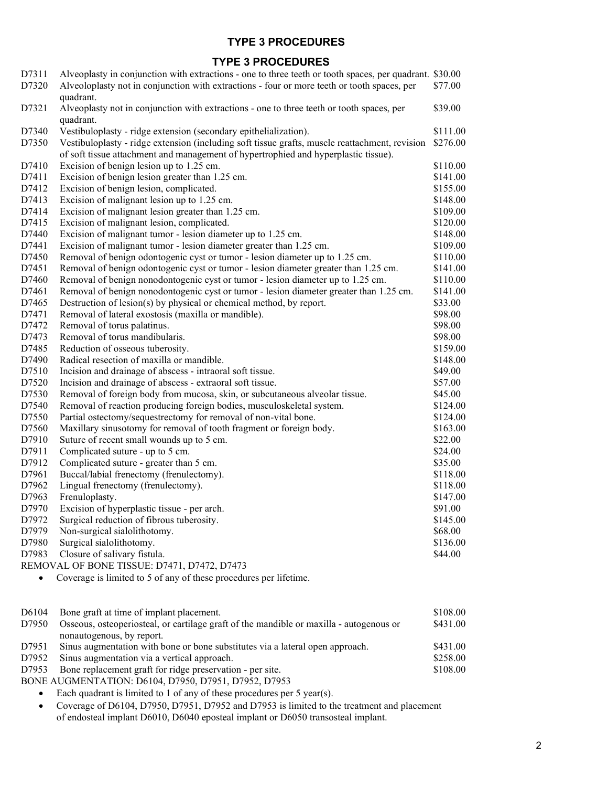## TYPE 3 PROCEDURES

| Alveoplasty in conjunction with extractions - one to three teeth or tooth spaces, per quadrant. \$30.00 |          |
|---------------------------------------------------------------------------------------------------------|----------|
| Alveoloplasty not in conjunction with extractions - four or more teeth or tooth spaces, per             | \$77.00  |
| quadrant.                                                                                               |          |
| Alveoplasty not in conjunction with extractions - one to three teeth or tooth spaces, per               | \$39.00  |
| quadrant.                                                                                               |          |
| Vestibuloplasty - ridge extension (secondary epithelialization).                                        | \$111.00 |
| Vestibuloplasty - ridge extension (including soft tissue grafts, muscle reattachment, revision          | \$276.00 |
| of soft tissue attachment and management of hypertrophied and hyperplastic tissue).                     |          |
| Excision of benign lesion up to 1.25 cm.                                                                | \$110.00 |
| Excision of benign lesion greater than 1.25 cm.                                                         | \$141.00 |
| Excision of benign lesion, complicated.                                                                 | \$155.00 |
| Excision of malignant lesion up to 1.25 cm.                                                             | \$148.00 |
| Excision of malignant lesion greater than 1.25 cm.                                                      | \$109.00 |
| Excision of malignant lesion, complicated.                                                              | \$120.00 |
| Excision of malignant tumor - lesion diameter up to 1.25 cm.                                            | \$148.00 |
| Excision of malignant tumor - lesion diameter greater than 1.25 cm.                                     | \$109.00 |
| Removal of benign odontogenic cyst or tumor - lesion diameter up to 1.25 cm.                            | \$110.00 |
| Removal of benign odontogenic cyst or tumor - lesion diameter greater than 1.25 cm.                     | \$141.00 |
| Removal of benign nonodontogenic cyst or tumor - lesion diameter up to 1.25 cm.                         | \$110.00 |
| Removal of benign nonodontogenic cyst or tumor - lesion diameter greater than 1.25 cm.                  | \$141.00 |
| Destruction of lesion(s) by physical or chemical method, by report.                                     | \$33.00  |
| Removal of lateral exostosis (maxilla or mandible).                                                     | \$98.00  |
| Removal of torus palatinus.                                                                             | \$98.00  |
| Removal of torus mandibularis.                                                                          | \$98.00  |
| Reduction of osseous tuberosity.                                                                        | \$159.00 |
| Radical resection of maxilla or mandible.                                                               | \$148.00 |
| Incision and drainage of abscess - intraoral soft tissue.                                               | \$49.00  |
| Incision and drainage of abscess - extraoral soft tissue.                                               | \$57.00  |
| Removal of foreign body from mucosa, skin, or subcutaneous alveolar tissue.                             | \$45.00  |
| Removal of reaction producing foreign bodies, musculoskeletal system.                                   | \$124.00 |
| Partial ostectomy/sequestrectomy for removal of non-vital bone.                                         | \$124.00 |
| Maxillary sinusotomy for removal of tooth fragment or foreign body.                                     | \$163.00 |
| Suture of recent small wounds up to 5 cm.                                                               | \$22.00  |
| Complicated suture - up to 5 cm.                                                                        | \$24.00  |
| Complicated suture - greater than 5 cm.                                                                 | \$35.00  |
| Buccal/labial frenectomy (frenulectomy).                                                                | \$118.00 |
| Lingual frenectomy (frenulectomy).                                                                      | \$118.00 |
| Frenuloplasty.                                                                                          | \$147.00 |
| Excision of hyperplastic tissue - per arch.                                                             | \$91.00  |
| Surgical reduction of fibrous tuberosity.                                                               | \$145.00 |
| Non-surgical sialolithotomy.                                                                            | \$68.00  |
| Surgical sialolithotomy.                                                                                | \$136.00 |
| Closure of salivary fistula.                                                                            | \$44.00  |
| REMOVAL OF BONE TISSUE: D7471, D7472, D7473                                                             |          |
| Coverage is limited to 5 of any of these procedures per lifetime.                                       |          |
|                                                                                                         |          |

| D6104     | Bone graft at time of implant placement.                                                | \$108.00 |
|-----------|-----------------------------------------------------------------------------------------|----------|
| D7950     | Osseous, osteoperiosteal, or cartilage graft of the mandible or maxilla - autogenous or | \$431.00 |
|           | nonautogenous, by report.                                                               |          |
| D7951     | Sinus augmentation with bone or bone substitutes via a lateral open approach.           | \$431.00 |
| D7952     | Sinus augmentation via a vertical approach.                                             | \$258.00 |
| D7953     | Bone replacement graft for ridge preservation - per site.                               | \$108.00 |
|           | BONE AUGMENTATION: D6104, D7950, D7951, D7952, D7953                                    |          |
| $\bullet$ | Each quadrant is limited to 1 of any of these procedures per 5 year(s).                 |          |

 Coverage of D6104, D7950, D7951, D7952 and D7953 is limited to the treatment and placement of endosteal implant D6010, D6040 eposteal implant or D6050 transosteal implant.